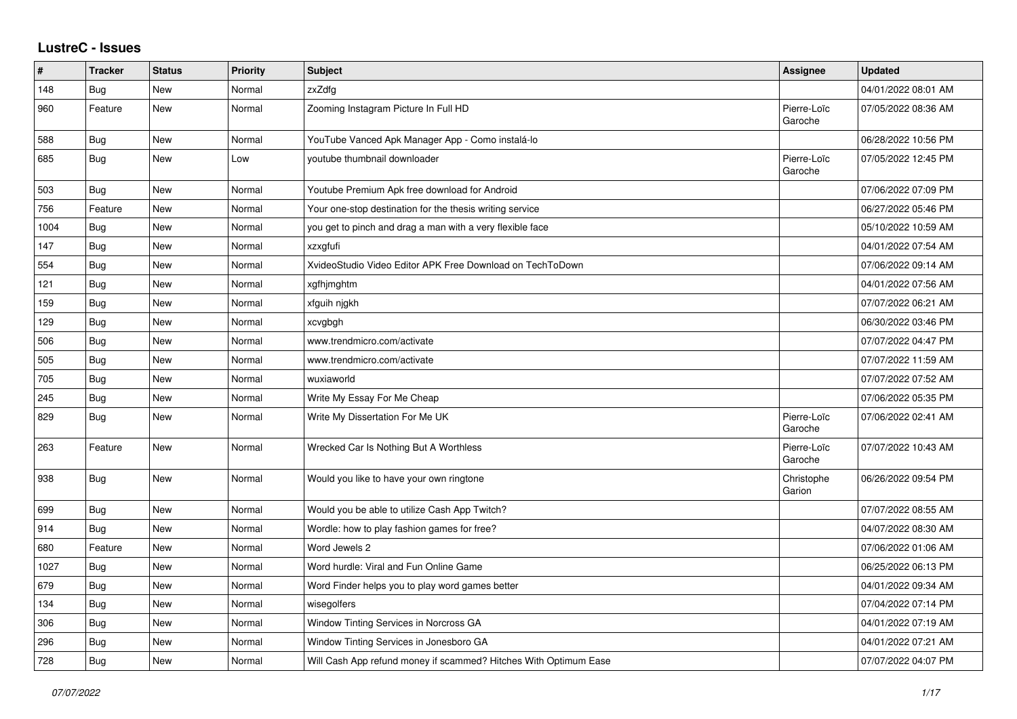## **LustreC - Issues**

| ∦    | <b>Tracker</b> | <b>Status</b> | Priority | <b>Subject</b>                                                   | Assignee               | <b>Updated</b>      |
|------|----------------|---------------|----------|------------------------------------------------------------------|------------------------|---------------------|
| 148  | Bug            | New           | Normal   | zxZdfg                                                           |                        | 04/01/2022 08:01 AM |
| 960  | Feature        | <b>New</b>    | Normal   | Zooming Instagram Picture In Full HD                             | Pierre-Loïc<br>Garoche | 07/05/2022 08:36 AM |
| 588  | Bug            | <b>New</b>    | Normal   | YouTube Vanced Apk Manager App - Como instalá-lo                 |                        | 06/28/2022 10:56 PM |
| 685  | Bug            | <b>New</b>    | Low      | youtube thumbnail downloader                                     | Pierre-Loïc<br>Garoche | 07/05/2022 12:45 PM |
| 503  | Bug            | <b>New</b>    | Normal   | Youtube Premium Apk free download for Android                    |                        | 07/06/2022 07:09 PM |
| 756  | Feature        | <b>New</b>    | Normal   | Your one-stop destination for the thesis writing service         |                        | 06/27/2022 05:46 PM |
| 1004 | Bug            | <b>New</b>    | Normal   | you get to pinch and drag a man with a very flexible face        |                        | 05/10/2022 10:59 AM |
| 147  | Bug            | <b>New</b>    | Normal   | xzxgfufi                                                         |                        | 04/01/2022 07:54 AM |
| 554  | Bug            | <b>New</b>    | Normal   | XvideoStudio Video Editor APK Free Download on TechToDown        |                        | 07/06/2022 09:14 AM |
| 121  | Bug            | <b>New</b>    | Normal   | xgfhjmghtm                                                       |                        | 04/01/2022 07:56 AM |
| 159  | Bug            | <b>New</b>    | Normal   | xfguih njgkh                                                     |                        | 07/07/2022 06:21 AM |
| 129  | Bug            | <b>New</b>    | Normal   | xcvgbgh                                                          |                        | 06/30/2022 03:46 PM |
| 506  | Bug            | <b>New</b>    | Normal   | www.trendmicro.com/activate                                      |                        | 07/07/2022 04:47 PM |
| 505  | Bug            | <b>New</b>    | Normal   | www.trendmicro.com/activate                                      |                        | 07/07/2022 11:59 AM |
| 705  | Bug            | <b>New</b>    | Normal   | wuxiaworld                                                       |                        | 07/07/2022 07:52 AM |
| 245  | Bug            | <b>New</b>    | Normal   | Write My Essay For Me Cheap                                      |                        | 07/06/2022 05:35 PM |
| 829  | <b>Bug</b>     | New           | Normal   | Write My Dissertation For Me UK                                  | Pierre-Loïc<br>Garoche | 07/06/2022 02:41 AM |
| 263  | Feature        | New           | Normal   | Wrecked Car Is Nothing But A Worthless                           | Pierre-Loïc<br>Garoche | 07/07/2022 10:43 AM |
| 938  | <b>Bug</b>     | New           | Normal   | Would you like to have your own ringtone                         | Christophe<br>Garion   | 06/26/2022 09:54 PM |
| 699  | Bug            | <b>New</b>    | Normal   | Would you be able to utilize Cash App Twitch?                    |                        | 07/07/2022 08:55 AM |
| 914  | <b>Bug</b>     | <b>New</b>    | Normal   | Wordle: how to play fashion games for free?                      |                        | 04/07/2022 08:30 AM |
| 680  | Feature        | <b>New</b>    | Normal   | Word Jewels 2                                                    |                        | 07/06/2022 01:06 AM |
| 1027 | Bug            | <b>New</b>    | Normal   | Word hurdle: Viral and Fun Online Game                           |                        | 06/25/2022 06:13 PM |
| 679  | <b>Bug</b>     | <b>New</b>    | Normal   | Word Finder helps you to play word games better                  |                        | 04/01/2022 09:34 AM |
| 134  | Bug            | <b>New</b>    | Normal   | wisegolfers                                                      |                        | 07/04/2022 07:14 PM |
| 306  | Bug            | New           | Normal   | Window Tinting Services in Norcross GA                           |                        | 04/01/2022 07:19 AM |
| 296  | <b>Bug</b>     | <b>New</b>    | Normal   | Window Tinting Services in Jonesboro GA                          |                        | 04/01/2022 07:21 AM |
| 728  | Bug            | <b>New</b>    | Normal   | Will Cash App refund money if scammed? Hitches With Optimum Ease |                        | 07/07/2022 04:07 PM |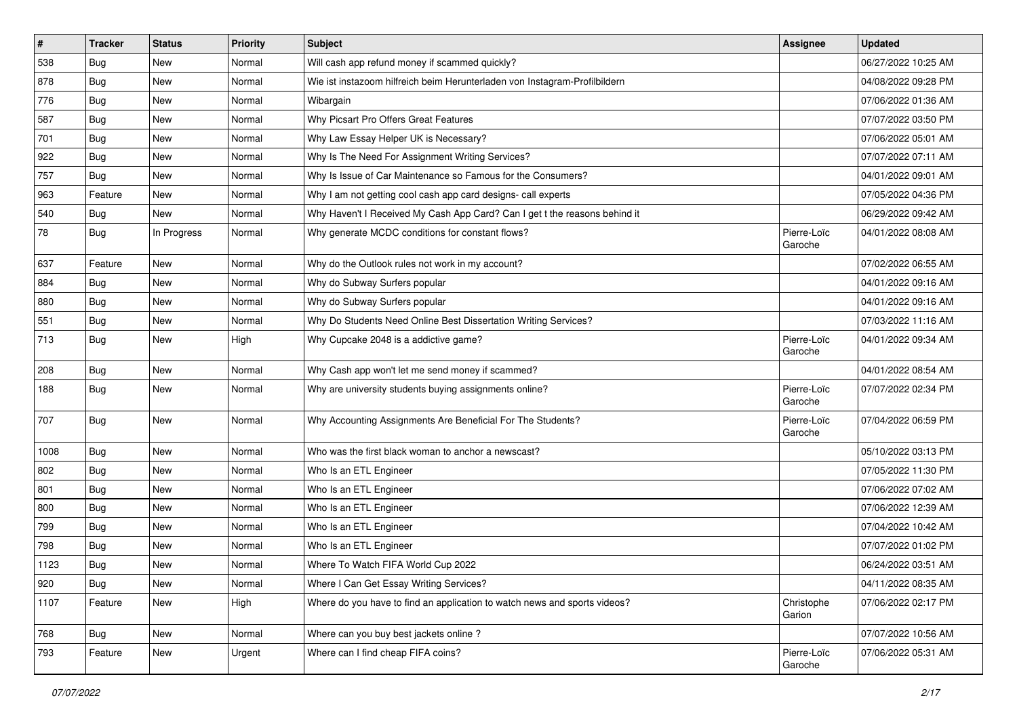| $\vert$ # | <b>Tracker</b> | <b>Status</b> | <b>Priority</b> | <b>Subject</b>                                                             | <b>Assignee</b>        | <b>Updated</b>      |
|-----------|----------------|---------------|-----------------|----------------------------------------------------------------------------|------------------------|---------------------|
| 538       | Bug            | New           | Normal          | Will cash app refund money if scammed quickly?                             |                        | 06/27/2022 10:25 AM |
| 878       | Bug            | <b>New</b>    | Normal          | Wie ist instazoom hilfreich beim Herunterladen von Instagram-Profilbildern |                        | 04/08/2022 09:28 PM |
| 776       | Bug            | New           | Normal          | Wibargain                                                                  |                        | 07/06/2022 01:36 AM |
| 587       | Bug            | <b>New</b>    | Normal          | Why Picsart Pro Offers Great Features                                      |                        | 07/07/2022 03:50 PM |
| 701       | Bug            | <b>New</b>    | Normal          | Why Law Essay Helper UK is Necessary?                                      |                        | 07/06/2022 05:01 AM |
| 922       | Bug            | <b>New</b>    | Normal          | Why Is The Need For Assignment Writing Services?                           |                        | 07/07/2022 07:11 AM |
| 757       | Bug            | <b>New</b>    | Normal          | Why Is Issue of Car Maintenance so Famous for the Consumers?               |                        | 04/01/2022 09:01 AM |
| 963       | Feature        | <b>New</b>    | Normal          | Why I am not getting cool cash app card designs- call experts              |                        | 07/05/2022 04:36 PM |
| 540       | Bug            | <b>New</b>    | Normal          | Why Haven't I Received My Cash App Card? Can I get t the reasons behind it |                        | 06/29/2022 09:42 AM |
| 78        | Bug            | In Progress   | Normal          | Why generate MCDC conditions for constant flows?                           | Pierre-Loïc<br>Garoche | 04/01/2022 08:08 AM |
| 637       | Feature        | <b>New</b>    | Normal          | Why do the Outlook rules not work in my account?                           |                        | 07/02/2022 06:55 AM |
| 884       | Bug            | <b>New</b>    | Normal          | Why do Subway Surfers popular                                              |                        | 04/01/2022 09:16 AM |
| 880       | Bug            | <b>New</b>    | Normal          | Why do Subway Surfers popular                                              |                        | 04/01/2022 09:16 AM |
| 551       | Bug            | <b>New</b>    | Normal          | Why Do Students Need Online Best Dissertation Writing Services?            |                        | 07/03/2022 11:16 AM |
| 713       | Bug            | <b>New</b>    | High            | Why Cupcake 2048 is a addictive game?                                      | Pierre-Loïc<br>Garoche | 04/01/2022 09:34 AM |
| 208       | Bug            | New           | Normal          | Why Cash app won't let me send money if scammed?                           |                        | 04/01/2022 08:54 AM |
| 188       | Bug            | <b>New</b>    | Normal          | Why are university students buying assignments online?                     | Pierre-Loïc<br>Garoche | 07/07/2022 02:34 PM |
| 707       | Bug            | <b>New</b>    | Normal          | Why Accounting Assignments Are Beneficial For The Students?                | Pierre-Loïc<br>Garoche | 07/04/2022 06:59 PM |
| 1008      | Bug            | <b>New</b>    | Normal          | Who was the first black woman to anchor a newscast?                        |                        | 05/10/2022 03:13 PM |
| 802       | Bug            | <b>New</b>    | Normal          | Who Is an ETL Engineer                                                     |                        | 07/05/2022 11:30 PM |
| 801       | Bug            | <b>New</b>    | Normal          | Who Is an ETL Engineer                                                     |                        | 07/06/2022 07:02 AM |
| 800       | Bug            | <b>New</b>    | Normal          | Who Is an ETL Engineer                                                     |                        | 07/06/2022 12:39 AM |
| 799       | Bug            | New           | Normal          | Who Is an ETL Engineer                                                     |                        | 07/04/2022 10:42 AM |
| 798       | Bug            | <b>New</b>    | Normal          | Who Is an ETL Engineer                                                     |                        | 07/07/2022 01:02 PM |
| 1123      | Bug            | <b>New</b>    | Normal          | Where To Watch FIFA World Cup 2022                                         |                        | 06/24/2022 03:51 AM |
| 920       | <b>Bug</b>     | New           | Normal          | Where I Can Get Essay Writing Services?                                    |                        | 04/11/2022 08:35 AM |
| 1107      | Feature        | New           | High            | Where do you have to find an application to watch news and sports videos?  | Christophe<br>Garion   | 07/06/2022 02:17 PM |
| 768       | Bug            | New           | Normal          | Where can you buy best jackets online?                                     |                        | 07/07/2022 10:56 AM |
| 793       | Feature        | New           | Urgent          | Where can I find cheap FIFA coins?                                         | Pierre-Loïc<br>Garoche | 07/06/2022 05:31 AM |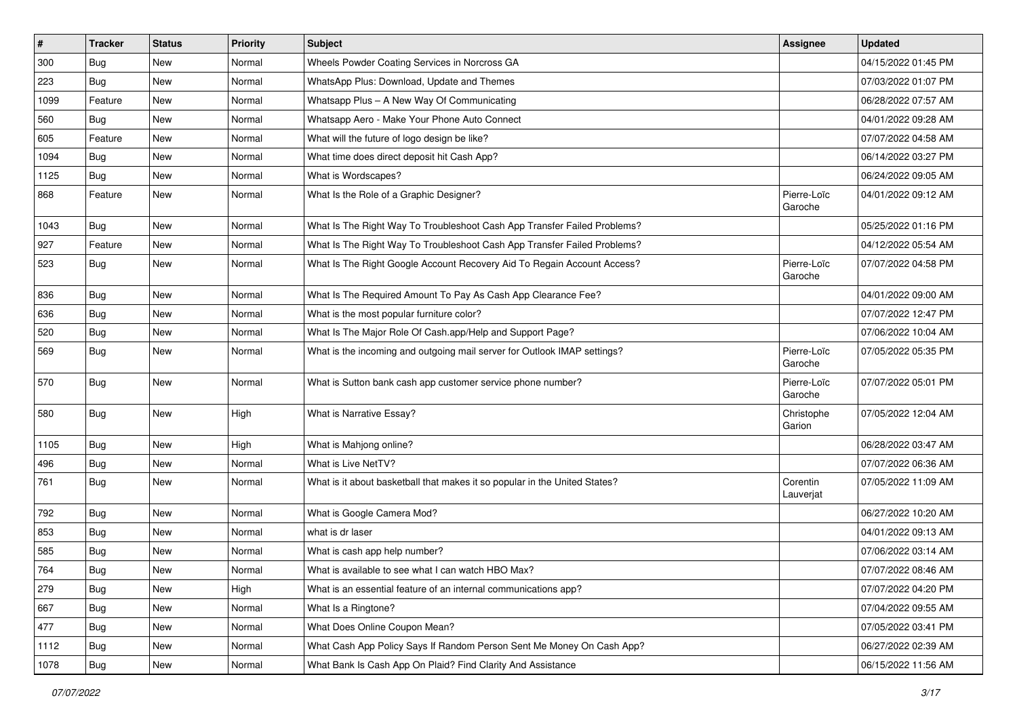| $\vert$ # | <b>Tracker</b> | <b>Status</b> | <b>Priority</b> | Subject                                                                    | Assignee               | <b>Updated</b>      |
|-----------|----------------|---------------|-----------------|----------------------------------------------------------------------------|------------------------|---------------------|
| 300       | Bug            | New           | Normal          | Wheels Powder Coating Services in Norcross GA                              |                        | 04/15/2022 01:45 PM |
| 223       | Bug            | <b>New</b>    | Normal          | WhatsApp Plus: Download, Update and Themes                                 |                        | 07/03/2022 01:07 PM |
| 1099      | Feature        | New           | Normal          | Whatsapp Plus - A New Way Of Communicating                                 |                        | 06/28/2022 07:57 AM |
| 560       | Bug            | <b>New</b>    | Normal          | Whatsapp Aero - Make Your Phone Auto Connect                               |                        | 04/01/2022 09:28 AM |
| 605       | Feature        | <b>New</b>    | Normal          | What will the future of logo design be like?                               |                        | 07/07/2022 04:58 AM |
| 1094      | Bug            | New           | Normal          | What time does direct deposit hit Cash App?                                |                        | 06/14/2022 03:27 PM |
| 1125      | Bug            | <b>New</b>    | Normal          | What is Wordscapes?                                                        |                        | 06/24/2022 09:05 AM |
| 868       | Feature        | New           | Normal          | What Is the Role of a Graphic Designer?                                    | Pierre-Loïc<br>Garoche | 04/01/2022 09:12 AM |
| 1043      | Bug            | New           | Normal          | What Is The Right Way To Troubleshoot Cash App Transfer Failed Problems?   |                        | 05/25/2022 01:16 PM |
| 927       | Feature        | New           | Normal          | What Is The Right Way To Troubleshoot Cash App Transfer Failed Problems?   |                        | 04/12/2022 05:54 AM |
| 523       | Bug            | New           | Normal          | What Is The Right Google Account Recovery Aid To Regain Account Access?    | Pierre-Loïc<br>Garoche | 07/07/2022 04:58 PM |
| 836       | Bug            | New           | Normal          | What Is The Required Amount To Pay As Cash App Clearance Fee?              |                        | 04/01/2022 09:00 AM |
| 636       | Bug            | <b>New</b>    | Normal          | What is the most popular furniture color?                                  |                        | 07/07/2022 12:47 PM |
| 520       | Bug            | New           | Normal          | What Is The Major Role Of Cash.app/Help and Support Page?                  |                        | 07/06/2022 10:04 AM |
| 569       | Bug            | <b>New</b>    | Normal          | What is the incoming and outgoing mail server for Outlook IMAP settings?   | Pierre-Loïc<br>Garoche | 07/05/2022 05:35 PM |
| 570       | Bug            | New           | Normal          | What is Sutton bank cash app customer service phone number?                | Pierre-Loïc<br>Garoche | 07/07/2022 05:01 PM |
| 580       | Bug            | <b>New</b>    | High            | What is Narrative Essay?                                                   | Christophe<br>Garion   | 07/05/2022 12:04 AM |
| 1105      | Bug            | <b>New</b>    | High            | What is Mahjong online?                                                    |                        | 06/28/2022 03:47 AM |
| 496       | Bug            | New           | Normal          | What is Live NetTV?                                                        |                        | 07/07/2022 06:36 AM |
| 761       | Bug            | <b>New</b>    | Normal          | What is it about basketball that makes it so popular in the United States? | Corentin<br>Lauverjat  | 07/05/2022 11:09 AM |
| 792       | Bug            | New           | Normal          | What is Google Camera Mod?                                                 |                        | 06/27/2022 10:20 AM |
| 853       | Bug            | <b>New</b>    | Normal          | what is dr laser                                                           |                        | 04/01/2022 09:13 AM |
| 585       | Bug            | <b>New</b>    | Normal          | What is cash app help number?                                              |                        | 07/06/2022 03:14 AM |
| 764       | <b>Bug</b>     | New           | Normal          | What is available to see what I can watch HBO Max?                         |                        | 07/07/2022 08:46 AM |
| 279       | Bug            | New           | High            | What is an essential feature of an internal communications app?            |                        | 07/07/2022 04:20 PM |
| 667       | <b>Bug</b>     | New           | Normal          | What Is a Ringtone?                                                        |                        | 07/04/2022 09:55 AM |
| 477       | Bug            | New           | Normal          | What Does Online Coupon Mean?                                              |                        | 07/05/2022 03:41 PM |
| 1112      | Bug            | New           | Normal          | What Cash App Policy Says If Random Person Sent Me Money On Cash App?      |                        | 06/27/2022 02:39 AM |
| 1078      | <b>Bug</b>     | New           | Normal          | What Bank Is Cash App On Plaid? Find Clarity And Assistance                |                        | 06/15/2022 11:56 AM |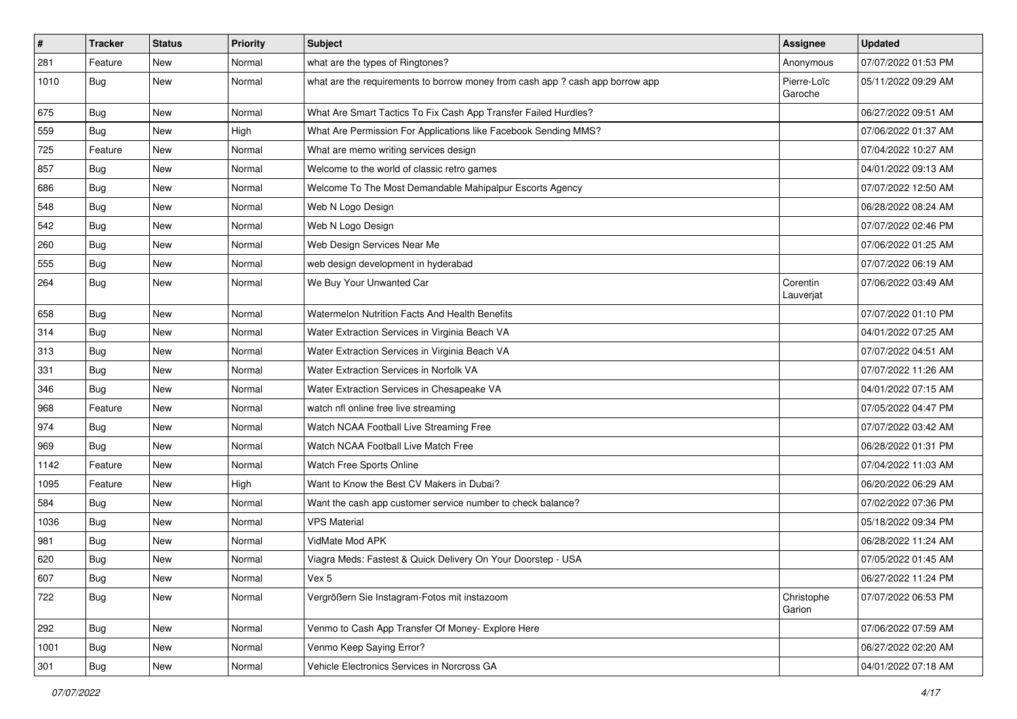| $\vert$ # | <b>Tracker</b> | <b>Status</b> | <b>Priority</b> | <b>Subject</b>                                                                | <b>Assignee</b>        | <b>Updated</b>      |
|-----------|----------------|---------------|-----------------|-------------------------------------------------------------------------------|------------------------|---------------------|
| 281       | Feature        | <b>New</b>    | Normal          | what are the types of Ringtones?                                              | Anonymous              | 07/07/2022 01:53 PM |
| 1010      | Bug            | <b>New</b>    | Normal          | what are the requirements to borrow money from cash app ? cash app borrow app | Pierre-Loïc<br>Garoche | 05/11/2022 09:29 AM |
| 675       | Bug            | <b>New</b>    | Normal          | What Are Smart Tactics To Fix Cash App Transfer Failed Hurdles?               |                        | 06/27/2022 09:51 AM |
| 559       | Bug            | <b>New</b>    | High            | What Are Permission For Applications like Facebook Sending MMS?               |                        | 07/06/2022 01:37 AM |
| 725       | Feature        | <b>New</b>    | Normal          | What are memo writing services design                                         |                        | 07/04/2022 10:27 AM |
| 857       | Bug            | <b>New</b>    | Normal          | Welcome to the world of classic retro games                                   |                        | 04/01/2022 09:13 AM |
| 686       | Bug            | <b>New</b>    | Normal          | Welcome To The Most Demandable Mahipalpur Escorts Agency                      |                        | 07/07/2022 12:50 AM |
| 548       | Bug            | <b>New</b>    | Normal          | Web N Logo Design                                                             |                        | 06/28/2022 08:24 AM |
| 542       | Bug            | <b>New</b>    | Normal          | Web N Logo Design                                                             |                        | 07/07/2022 02:46 PM |
| 260       | Bug            | New           | Normal          | Web Design Services Near Me                                                   |                        | 07/06/2022 01:25 AM |
| 555       | Bug            | <b>New</b>    | Normal          | web design development in hyderabad                                           |                        | 07/07/2022 06:19 AM |
| 264       | Bug            | <b>New</b>    | Normal          | We Buy Your Unwanted Car                                                      | Corentin<br>Lauverjat  | 07/06/2022 03:49 AM |
| 658       | Bug            | <b>New</b>    | Normal          | Watermelon Nutrition Facts And Health Benefits                                |                        | 07/07/2022 01:10 PM |
| 314       | Bug            | <b>New</b>    | Normal          | Water Extraction Services in Virginia Beach VA                                |                        | 04/01/2022 07:25 AM |
| 313       | Bug            | <b>New</b>    | Normal          | Water Extraction Services in Virginia Beach VA                                |                        | 07/07/2022 04:51 AM |
| 331       | Bug            | <b>New</b>    | Normal          | Water Extraction Services in Norfolk VA                                       |                        | 07/07/2022 11:26 AM |
| 346       | Bug            | New           | Normal          | Water Extraction Services in Chesapeake VA                                    |                        | 04/01/2022 07:15 AM |
| 968       | Feature        | <b>New</b>    | Normal          | watch nfl online free live streaming                                          |                        | 07/05/2022 04:47 PM |
| 974       | Bug            | <b>New</b>    | Normal          | Watch NCAA Football Live Streaming Free                                       |                        | 07/07/2022 03:42 AM |
| 969       | Bug            | <b>New</b>    | Normal          | Watch NCAA Football Live Match Free                                           |                        | 06/28/2022 01:31 PM |
| 1142      | Feature        | <b>New</b>    | Normal          | Watch Free Sports Online                                                      |                        | 07/04/2022 11:03 AM |
| 1095      | Feature        | New           | High            | Want to Know the Best CV Makers in Dubai?                                     |                        | 06/20/2022 06:29 AM |
| 584       | Bug            | <b>New</b>    | Normal          | Want the cash app customer service number to check balance?                   |                        | 07/02/2022 07:36 PM |
| 1036      | Bug            | <b>New</b>    | Normal          | <b>VPS Material</b>                                                           |                        | 05/18/2022 09:34 PM |
| 981       | Bug            | <b>New</b>    | Normal          | VidMate Mod APK                                                               |                        | 06/28/2022 11:24 AM |
| 620       | Bug            | <b>New</b>    | Normal          | Viagra Meds: Fastest & Quick Delivery On Your Doorstep - USA                  |                        | 07/05/2022 01:45 AM |
| 607       | Bug            | New           | Normal          | Vex 5                                                                         |                        | 06/27/2022 11:24 PM |
| 722       | Bug            | New           | Normal          | Vergrößern Sie Instagram-Fotos mit instazoom                                  | Christophe<br>Garion   | 07/07/2022 06:53 PM |
| 292       | Bug            | New           | Normal          | Venmo to Cash App Transfer Of Money- Explore Here                             |                        | 07/06/2022 07:59 AM |
| 1001      | <b>Bug</b>     | New           | Normal          | Venmo Keep Saying Error?                                                      |                        | 06/27/2022 02:20 AM |
| 301       | <b>Bug</b>     | New           | Normal          | Vehicle Electronics Services in Norcross GA                                   |                        | 04/01/2022 07:18 AM |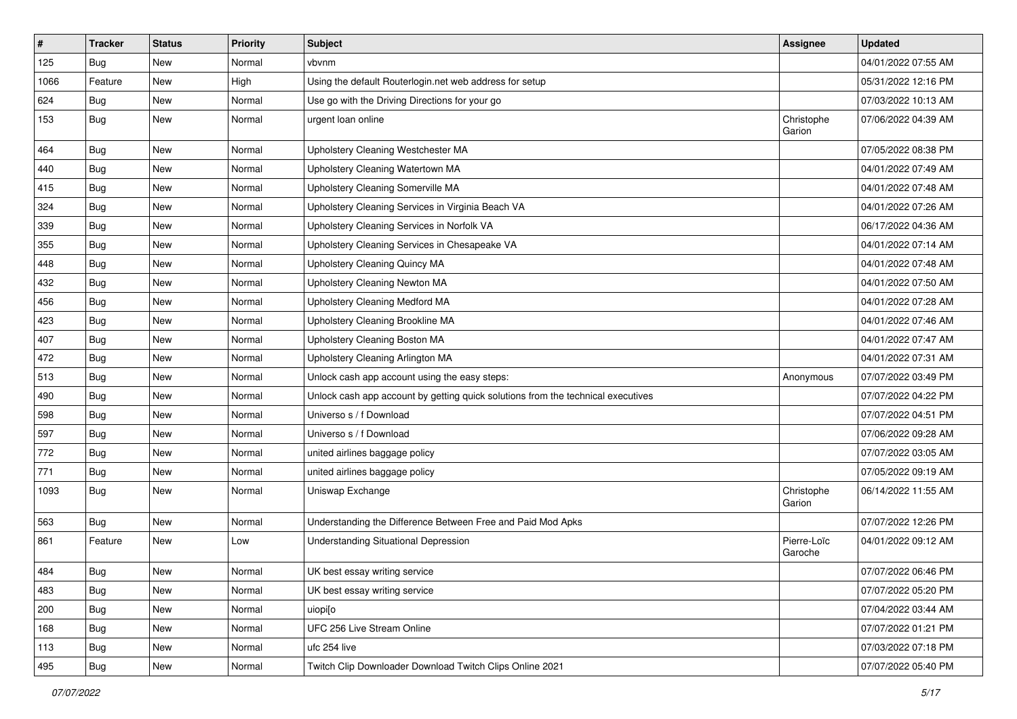| $\sharp$ | <b>Tracker</b> | <b>Status</b> | <b>Priority</b> | <b>Subject</b>                                                                   | <b>Assignee</b>        | <b>Updated</b>      |
|----------|----------------|---------------|-----------------|----------------------------------------------------------------------------------|------------------------|---------------------|
| 125      | Bug            | New           | Normal          | vbvnm                                                                            |                        | 04/01/2022 07:55 AM |
| 1066     | Feature        | <b>New</b>    | High            | Using the default Routerlogin.net web address for setup                          |                        | 05/31/2022 12:16 PM |
| 624      | <b>Bug</b>     | New           | Normal          | Use go with the Driving Directions for your go                                   |                        | 07/03/2022 10:13 AM |
| 153      | Bug            | New           | Normal          | urgent loan online                                                               | Christophe<br>Garion   | 07/06/2022 04:39 AM |
| 464      | Bug            | New           | Normal          | Upholstery Cleaning Westchester MA                                               |                        | 07/05/2022 08:38 PM |
| 440      | Bug            | New           | Normal          | Upholstery Cleaning Watertown MA                                                 |                        | 04/01/2022 07:49 AM |
| 415      | Bug            | New           | Normal          | Upholstery Cleaning Somerville MA                                                |                        | 04/01/2022 07:48 AM |
| 324      | <b>Bug</b>     | New           | Normal          | Upholstery Cleaning Services in Virginia Beach VA                                |                        | 04/01/2022 07:26 AM |
| 339      | <b>Bug</b>     | New           | Normal          | Upholstery Cleaning Services in Norfolk VA                                       |                        | 06/17/2022 04:36 AM |
| 355      | Bug            | New           | Normal          | Upholstery Cleaning Services in Chesapeake VA                                    |                        | 04/01/2022 07:14 AM |
| 448      | <b>Bug</b>     | New           | Normal          | Upholstery Cleaning Quincy MA                                                    |                        | 04/01/2022 07:48 AM |
| 432      | <b>Bug</b>     | New           | Normal          | Upholstery Cleaning Newton MA                                                    |                        | 04/01/2022 07:50 AM |
| 456      | <b>Bug</b>     | New           | Normal          | Upholstery Cleaning Medford MA                                                   |                        | 04/01/2022 07:28 AM |
| 423      | Bug            | New           | Normal          | Upholstery Cleaning Brookline MA                                                 |                        | 04/01/2022 07:46 AM |
| 407      | Bug            | New           | Normal          | Upholstery Cleaning Boston MA                                                    |                        | 04/01/2022 07:47 AM |
| 472      | <b>Bug</b>     | New           | Normal          | Upholstery Cleaning Arlington MA                                                 |                        | 04/01/2022 07:31 AM |
| 513      | Bug            | New           | Normal          | Unlock cash app account using the easy steps:                                    | Anonymous              | 07/07/2022 03:49 PM |
| 490      | <b>Bug</b>     | New           | Normal          | Unlock cash app account by getting quick solutions from the technical executives |                        | 07/07/2022 04:22 PM |
| 598      | Bug            | New           | Normal          | Universo s / f Download                                                          |                        | 07/07/2022 04:51 PM |
| 597      | Bug            | New           | Normal          | Universo s / f Download                                                          |                        | 07/06/2022 09:28 AM |
| 772      | <b>Bug</b>     | New           | Normal          | united airlines baggage policy                                                   |                        | 07/07/2022 03:05 AM |
| 771      | Bug            | New           | Normal          | united airlines baggage policy                                                   |                        | 07/05/2022 09:19 AM |
| 1093     | Bug            | New           | Normal          | Uniswap Exchange                                                                 | Christophe<br>Garion   | 06/14/2022 11:55 AM |
| 563      | Bug            | New           | Normal          | Understanding the Difference Between Free and Paid Mod Apks                      |                        | 07/07/2022 12:26 PM |
| 861      | Feature        | New           | Low             | <b>Understanding Situational Depression</b>                                      | Pierre-Loïc<br>Garoche | 04/01/2022 09:12 AM |
| 484      | Bug            | New           | Normal          | UK best essay writing service                                                    |                        | 07/07/2022 06:46 PM |
| 483      | Bug            | New           | Normal          | UK best essay writing service                                                    |                        | 07/07/2022 05:20 PM |
| 200      | Bug            | New           | Normal          | uiopi[o                                                                          |                        | 07/04/2022 03:44 AM |
| 168      | Bug            | New           | Normal          | UFC 256 Live Stream Online                                                       |                        | 07/07/2022 01:21 PM |
| 113      | Bug            | New           | Normal          | ufc 254 live                                                                     |                        | 07/03/2022 07:18 PM |
| 495      | <b>Bug</b>     | New           | Normal          | Twitch Clip Downloader Download Twitch Clips Online 2021                         |                        | 07/07/2022 05:40 PM |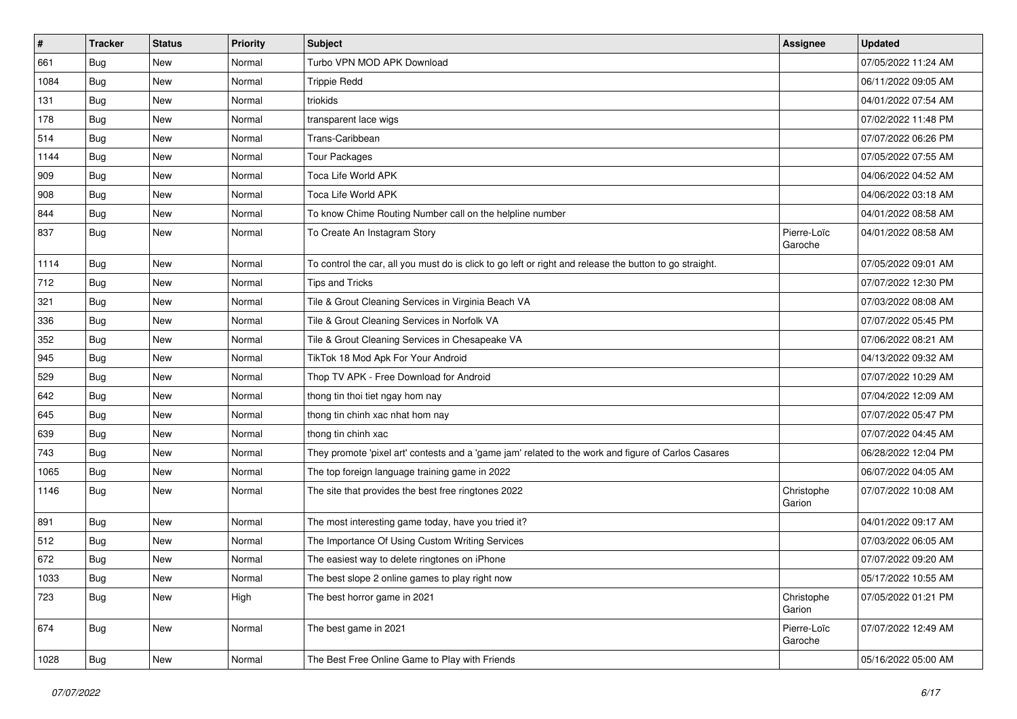| $\pmb{\#}$ | <b>Tracker</b> | <b>Status</b> | <b>Priority</b> | <b>Subject</b>                                                                                          | Assignee               | <b>Updated</b>      |
|------------|----------------|---------------|-----------------|---------------------------------------------------------------------------------------------------------|------------------------|---------------------|
| 661        | Bug            | New           | Normal          | Turbo VPN MOD APK Download                                                                              |                        | 07/05/2022 11:24 AM |
| 1084       | Bug            | <b>New</b>    | Normal          | <b>Trippie Redd</b>                                                                                     |                        | 06/11/2022 09:05 AM |
| 131        | Bug            | New           | Normal          | triokids                                                                                                |                        | 04/01/2022 07:54 AM |
| 178        | Bug            | <b>New</b>    | Normal          | transparent lace wigs                                                                                   |                        | 07/02/2022 11:48 PM |
| 514        | Bug            | <b>New</b>    | Normal          | Trans-Caribbean                                                                                         |                        | 07/07/2022 06:26 PM |
| 1144       | Bug            | New           | Normal          | <b>Tour Packages</b>                                                                                    |                        | 07/05/2022 07:55 AM |
| 909        | Bug            | New           | Normal          | Toca Life World APK                                                                                     |                        | 04/06/2022 04:52 AM |
| 908        | Bug            | New           | Normal          | Toca Life World APK                                                                                     |                        | 04/06/2022 03:18 AM |
| 844        | Bug            | New           | Normal          | To know Chime Routing Number call on the helpline number                                                |                        | 04/01/2022 08:58 AM |
| 837        | Bug            | <b>New</b>    | Normal          | To Create An Instagram Story                                                                            | Pierre-Loïc<br>Garoche | 04/01/2022 08:58 AM |
| 1114       | Bug            | <b>New</b>    | Normal          | To control the car, all you must do is click to go left or right and release the button to go straight. |                        | 07/05/2022 09:01 AM |
| 712        | Bug            | New           | Normal          | <b>Tips and Tricks</b>                                                                                  |                        | 07/07/2022 12:30 PM |
| 321        | Bug            | <b>New</b>    | Normal          | Tile & Grout Cleaning Services in Virginia Beach VA                                                     |                        | 07/03/2022 08:08 AM |
| 336        | Bug            | <b>New</b>    | Normal          | Tile & Grout Cleaning Services in Norfolk VA                                                            |                        | 07/07/2022 05:45 PM |
| 352        | Bug            | New           | Normal          | Tile & Grout Cleaning Services in Chesapeake VA                                                         |                        | 07/06/2022 08:21 AM |
| 945        | Bug            | New           | Normal          | TikTok 18 Mod Apk For Your Android                                                                      |                        | 04/13/2022 09:32 AM |
| 529        | Bug            | <b>New</b>    | Normal          | Thop TV APK - Free Download for Android                                                                 |                        | 07/07/2022 10:29 AM |
| 642        | Bug            | New           | Normal          | thong tin thoi tiet ngay hom nay                                                                        |                        | 07/04/2022 12:09 AM |
| 645        | Bug            | New           | Normal          | thong tin chinh xac nhat hom nay                                                                        |                        | 07/07/2022 05:47 PM |
| 639        | Bug            | New           | Normal          | thong tin chinh xac                                                                                     |                        | 07/07/2022 04:45 AM |
| 743        | Bug            | <b>New</b>    | Normal          | They promote 'pixel art' contests and a 'game jam' related to the work and figure of Carlos Casares     |                        | 06/28/2022 12:04 PM |
| 1065       | Bug            | <b>New</b>    | Normal          | The top foreign language training game in 2022                                                          |                        | 06/07/2022 04:05 AM |
| 1146       | Bug            | New           | Normal          | The site that provides the best free ringtones 2022                                                     | Christophe<br>Garion   | 07/07/2022 10:08 AM |
| 891        | Bug            | <b>New</b>    | Normal          | The most interesting game today, have you tried it?                                                     |                        | 04/01/2022 09:17 AM |
| 512        | Bug            | New           | Normal          | The Importance Of Using Custom Writing Services                                                         |                        | 07/03/2022 06:05 AM |
| 672        | Bug            | New           | Normal          | The easiest way to delete ringtones on iPhone                                                           |                        | 07/07/2022 09:20 AM |
| 1033       | <b>Bug</b>     | New           | Normal          | The best slope 2 online games to play right now                                                         |                        | 05/17/2022 10:55 AM |
| 723        | <b>Bug</b>     | New           | High            | The best horror game in 2021                                                                            | Christophe<br>Garion   | 07/05/2022 01:21 PM |
| 674        | <b>Bug</b>     | New           | Normal          | The best game in 2021                                                                                   | Pierre-Loïc<br>Garoche | 07/07/2022 12:49 AM |
| 1028       | <b>Bug</b>     | New           | Normal          | The Best Free Online Game to Play with Friends                                                          |                        | 05/16/2022 05:00 AM |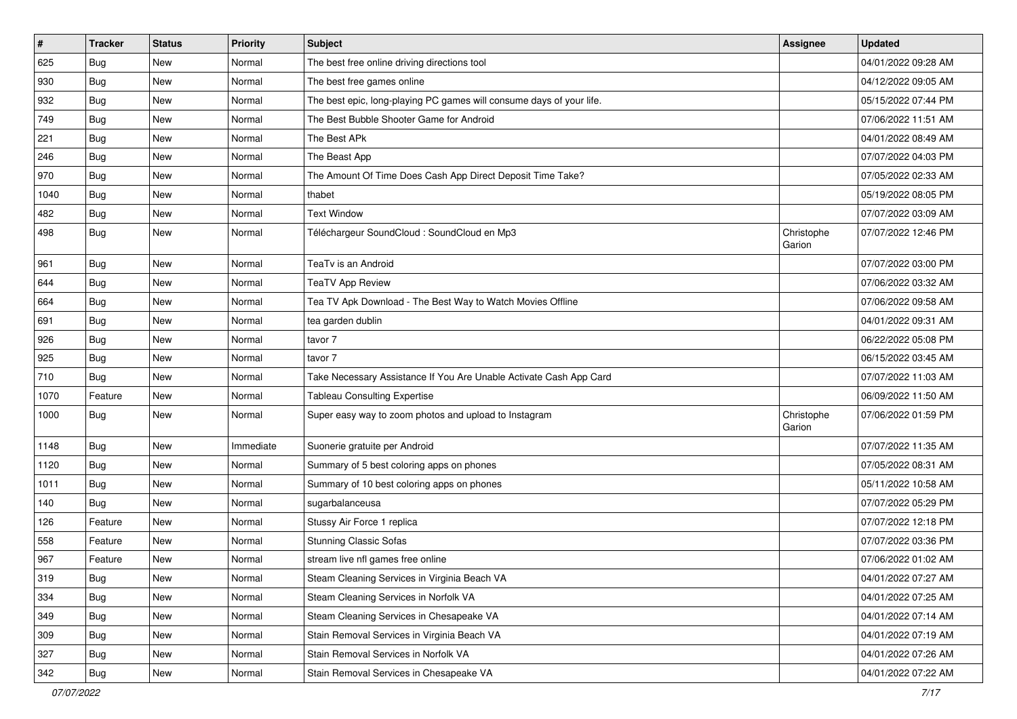| #    | <b>Tracker</b> | <b>Status</b> | <b>Priority</b> | <b>Subject</b>                                                       | Assignee             | <b>Updated</b>      |
|------|----------------|---------------|-----------------|----------------------------------------------------------------------|----------------------|---------------------|
| 625  | Bug            | New           | Normal          | The best free online driving directions tool                         |                      | 04/01/2022 09:28 AM |
| 930  | Bug            | <b>New</b>    | Normal          | The best free games online                                           |                      | 04/12/2022 09:05 AM |
| 932  | Bug            | New           | Normal          | The best epic, long-playing PC games will consume days of your life. |                      | 05/15/2022 07:44 PM |
| 749  | Bug            | <b>New</b>    | Normal          | The Best Bubble Shooter Game for Android                             |                      | 07/06/2022 11:51 AM |
| 221  | Bug            | <b>New</b>    | Normal          | The Best APk                                                         |                      | 04/01/2022 08:49 AM |
| 246  | <b>Bug</b>     | <b>New</b>    | Normal          | The Beast App                                                        |                      | 07/07/2022 04:03 PM |
| 970  | <b>Bug</b>     | <b>New</b>    | Normal          | The Amount Of Time Does Cash App Direct Deposit Time Take?           |                      | 07/05/2022 02:33 AM |
| 1040 | Bug            | <b>New</b>    | Normal          | thabet                                                               |                      | 05/19/2022 08:05 PM |
| 482  | <b>Bug</b>     | <b>New</b>    | Normal          | <b>Text Window</b>                                                   |                      | 07/07/2022 03:09 AM |
| 498  | Bug            | <b>New</b>    | Normal          | Téléchargeur SoundCloud : SoundCloud en Mp3                          | Christophe<br>Garion | 07/07/2022 12:46 PM |
| 961  | <b>Bug</b>     | <b>New</b>    | Normal          | TeaTv is an Android                                                  |                      | 07/07/2022 03:00 PM |
| 644  | Bug            | <b>New</b>    | Normal          | <b>TeaTV App Review</b>                                              |                      | 07/06/2022 03:32 AM |
| 664  | <b>Bug</b>     | <b>New</b>    | Normal          | Tea TV Apk Download - The Best Way to Watch Movies Offline           |                      | 07/06/2022 09:58 AM |
| 691  | Bug            | <b>New</b>    | Normal          | tea garden dublin                                                    |                      | 04/01/2022 09:31 AM |
| 926  | Bug            | New           | Normal          | tavor 7                                                              |                      | 06/22/2022 05:08 PM |
| 925  | Bug            | <b>New</b>    | Normal          | tavor 7                                                              |                      | 06/15/2022 03:45 AM |
| 710  | Bug            | <b>New</b>    | Normal          | Take Necessary Assistance If You Are Unable Activate Cash App Card   |                      | 07/07/2022 11:03 AM |
| 1070 | Feature        | New           | Normal          | <b>Tableau Consulting Expertise</b>                                  |                      | 06/09/2022 11:50 AM |
| 1000 | Bug            | <b>New</b>    | Normal          | Super easy way to zoom photos and upload to Instagram                | Christophe<br>Garion | 07/06/2022 01:59 PM |
| 1148 | Bug            | <b>New</b>    | Immediate       | Suonerie gratuite per Android                                        |                      | 07/07/2022 11:35 AM |
| 1120 | Bug            | <b>New</b>    | Normal          | Summary of 5 best coloring apps on phones                            |                      | 07/05/2022 08:31 AM |
| 1011 | Bug            | New           | Normal          | Summary of 10 best coloring apps on phones                           |                      | 05/11/2022 10:58 AM |
| 140  | Bug            | <b>New</b>    | Normal          | sugarbalanceusa                                                      |                      | 07/07/2022 05:29 PM |
| 126  | Feature        | <b>New</b>    | Normal          | Stussy Air Force 1 replica                                           |                      | 07/07/2022 12:18 PM |
| 558  | Feature        | New           | Normal          | <b>Stunning Classic Sofas</b>                                        |                      | 07/07/2022 03:36 PM |
| 967  | Feature        | <b>New</b>    | Normal          | stream live nfl games free online                                    |                      | 07/06/2022 01:02 AM |
| 319  | Bug            | New           | Normal          | Steam Cleaning Services in Virginia Beach VA                         |                      | 04/01/2022 07:27 AM |
| 334  | Bug            | New           | Normal          | Steam Cleaning Services in Norfolk VA                                |                      | 04/01/2022 07:25 AM |
| 349  | Bug            | New           | Normal          | Steam Cleaning Services in Chesapeake VA                             |                      | 04/01/2022 07:14 AM |
| 309  | <b>Bug</b>     | New           | Normal          | Stain Removal Services in Virginia Beach VA                          |                      | 04/01/2022 07:19 AM |
| 327  | <b>Bug</b>     | New           | Normal          | Stain Removal Services in Norfolk VA                                 |                      | 04/01/2022 07:26 AM |
| 342  | <b>Bug</b>     | New           | Normal          | Stain Removal Services in Chesapeake VA                              |                      | 04/01/2022 07:22 AM |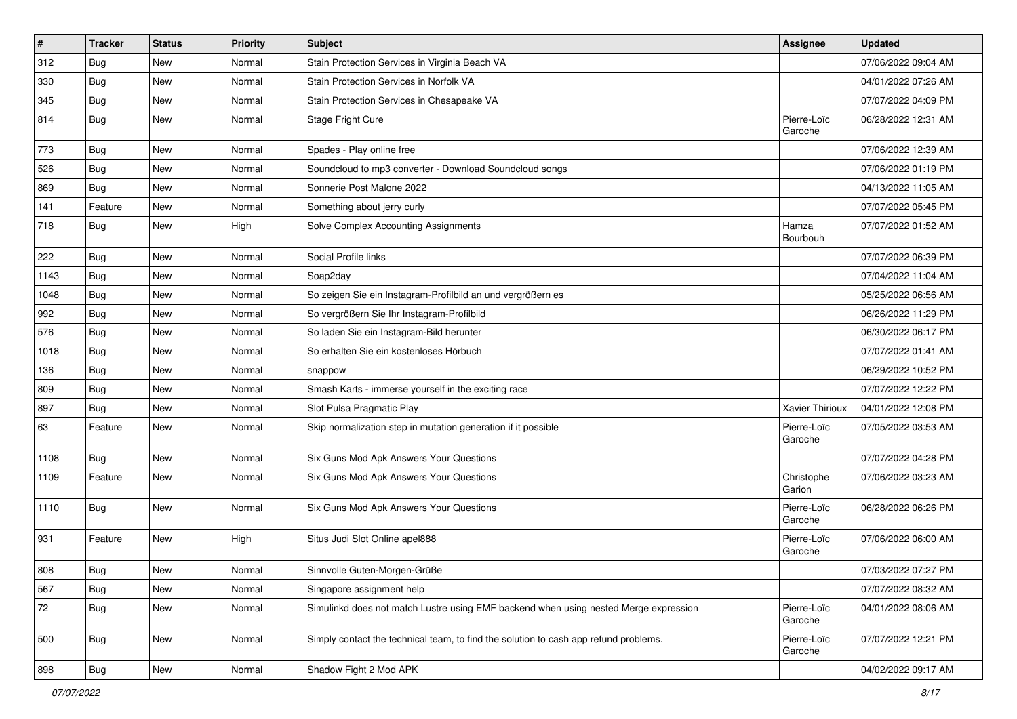| $\pmb{\#}$ | <b>Tracker</b> | <b>Status</b> | <b>Priority</b> | <b>Subject</b>                                                                       | Assignee               | <b>Updated</b>      |
|------------|----------------|---------------|-----------------|--------------------------------------------------------------------------------------|------------------------|---------------------|
| 312        | Bug            | New           | Normal          | Stain Protection Services in Virginia Beach VA                                       |                        | 07/06/2022 09:04 AM |
| 330        | Bug            | <b>New</b>    | Normal          | Stain Protection Services in Norfolk VA                                              |                        | 04/01/2022 07:26 AM |
| 345        | Bug            | New           | Normal          | Stain Protection Services in Chesapeake VA                                           |                        | 07/07/2022 04:09 PM |
| 814        | Bug            | New           | Normal          | Stage Fright Cure                                                                    | Pierre-Loïc<br>Garoche | 06/28/2022 12:31 AM |
| 773        | Bug            | <b>New</b>    | Normal          | Spades - Play online free                                                            |                        | 07/06/2022 12:39 AM |
| 526        | Bug            | New           | Normal          | Soundcloud to mp3 converter - Download Soundcloud songs                              |                        | 07/06/2022 01:19 PM |
| 869        | <b>Bug</b>     | New           | Normal          | Sonnerie Post Malone 2022                                                            |                        | 04/13/2022 11:05 AM |
| 141        | Feature        | <b>New</b>    | Normal          | Something about jerry curly                                                          |                        | 07/07/2022 05:45 PM |
| 718        | Bug            | New           | High            | Solve Complex Accounting Assignments                                                 | Hamza<br>Bourbouh      | 07/07/2022 01:52 AM |
| 222        | Bug            | New           | Normal          | Social Profile links                                                                 |                        | 07/07/2022 06:39 PM |
| 1143       | Bug            | <b>New</b>    | Normal          | Soap2day                                                                             |                        | 07/04/2022 11:04 AM |
| 1048       | Bug            | New           | Normal          | So zeigen Sie ein Instagram-Profilbild an und vergrößern es                          |                        | 05/25/2022 06:56 AM |
| 992        | Bug            | New           | Normal          | So vergrößern Sie Ihr Instagram-Profilbild                                           |                        | 06/26/2022 11:29 PM |
| 576        | Bug            | New           | Normal          | So laden Sie ein Instagram-Bild herunter                                             |                        | 06/30/2022 06:17 PM |
| 1018       | Bug            | <b>New</b>    | Normal          | So erhalten Sie ein kostenloses Hörbuch                                              |                        | 07/07/2022 01:41 AM |
| 136        | Bug            | <b>New</b>    | Normal          | snappow                                                                              |                        | 06/29/2022 10:52 PM |
| 809        | Bug            | <b>New</b>    | Normal          | Smash Karts - immerse yourself in the exciting race                                  |                        | 07/07/2022 12:22 PM |
| 897        | Bug            | New           | Normal          | Slot Pulsa Pragmatic Play                                                            | Xavier Thirioux        | 04/01/2022 12:08 PM |
| 63         | Feature        | New           | Normal          | Skip normalization step in mutation generation if it possible                        | Pierre-Loïc<br>Garoche | 07/05/2022 03:53 AM |
| 1108       | Bug            | New           | Normal          | Six Guns Mod Apk Answers Your Questions                                              |                        | 07/07/2022 04:28 PM |
| 1109       | Feature        | New           | Normal          | Six Guns Mod Apk Answers Your Questions                                              | Christophe<br>Garion   | 07/06/2022 03:23 AM |
| 1110       | Bug            | <b>New</b>    | Normal          | Six Guns Mod Apk Answers Your Questions                                              | Pierre-Loïc<br>Garoche | 06/28/2022 06:26 PM |
| 931        | Feature        | New           | High            | Situs Judi Slot Online apel888                                                       | Pierre-Loïc<br>Garoche | 07/06/2022 06:00 AM |
| 808        | Bug            | New           | Normal          | Sinnvolle Guten-Morgen-Grüße                                                         |                        | 07/03/2022 07:27 PM |
| 567        | Bug            | New           | Normal          | Singapore assignment help                                                            |                        | 07/07/2022 08:32 AM |
| 72         | <b>Bug</b>     | New           | Normal          | Simulinkd does not match Lustre using EMF backend when using nested Merge expression | Pierre-Loïc<br>Garoche | 04/01/2022 08:06 AM |
| 500        | <b>Bug</b>     | New           | Normal          | Simply contact the technical team, to find the solution to cash app refund problems. | Pierre-Loïc<br>Garoche | 07/07/2022 12:21 PM |
| 898        | <b>Bug</b>     | New           | Normal          | Shadow Fight 2 Mod APK                                                               |                        | 04/02/2022 09:17 AM |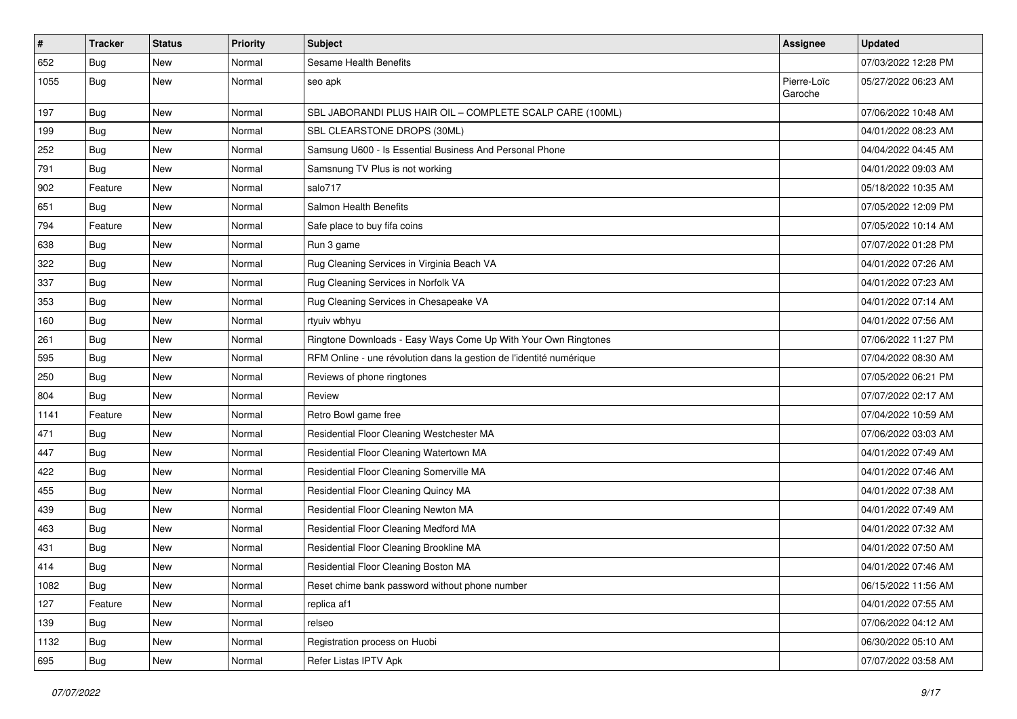| $\vert$ # | <b>Tracker</b> | <b>Status</b> | <b>Priority</b> | <b>Subject</b>                                                      | Assignee               | <b>Updated</b>      |
|-----------|----------------|---------------|-----------------|---------------------------------------------------------------------|------------------------|---------------------|
| 652       | Bug            | New           | Normal          | Sesame Health Benefits                                              |                        | 07/03/2022 12:28 PM |
| 1055      | Bug            | <b>New</b>    | Normal          | seo apk                                                             | Pierre-Loïc<br>Garoche | 05/27/2022 06:23 AM |
| 197       | Bug            | <b>New</b>    | Normal          | SBL JABORANDI PLUS HAIR OIL - COMPLETE SCALP CARE (100ML)           |                        | 07/06/2022 10:48 AM |
| 199       | Bug            | <b>New</b>    | Normal          | SBL CLEARSTONE DROPS (30ML)                                         |                        | 04/01/2022 08:23 AM |
| 252       | Bug            | New           | Normal          | Samsung U600 - Is Essential Business And Personal Phone             |                        | 04/04/2022 04:45 AM |
| 791       | Bug            | <b>New</b>    | Normal          | Samsnung TV Plus is not working                                     |                        | 04/01/2022 09:03 AM |
| 902       | Feature        | <b>New</b>    | Normal          | salo717                                                             |                        | 05/18/2022 10:35 AM |
| 651       | Bug            | New           | Normal          | Salmon Health Benefits                                              |                        | 07/05/2022 12:09 PM |
| 794       | Feature        | <b>New</b>    | Normal          | Safe place to buy fifa coins                                        |                        | 07/05/2022 10:14 AM |
| 638       | Bug            | New           | Normal          | Run 3 game                                                          |                        | 07/07/2022 01:28 PM |
| 322       | Bug            | <b>New</b>    | Normal          | Rug Cleaning Services in Virginia Beach VA                          |                        | 04/01/2022 07:26 AM |
| 337       | Bug            | <b>New</b>    | Normal          | Rug Cleaning Services in Norfolk VA                                 |                        | 04/01/2022 07:23 AM |
| 353       | Bug            | <b>New</b>    | Normal          | Rug Cleaning Services in Chesapeake VA                              |                        | 04/01/2022 07:14 AM |
| 160       | Bug            | <b>New</b>    | Normal          | rtyuiv wbhyu                                                        |                        | 04/01/2022 07:56 AM |
| 261       | Bug            | New           | Normal          | Ringtone Downloads - Easy Ways Come Up With Your Own Ringtones      |                        | 07/06/2022 11:27 PM |
| 595       | Bug            | <b>New</b>    | Normal          | RFM Online - une révolution dans la gestion de l'identité numérique |                        | 07/04/2022 08:30 AM |
| 250       | Bug            | <b>New</b>    | Normal          | Reviews of phone ringtones                                          |                        | 07/05/2022 06:21 PM |
| 804       | Bug            | New           | Normal          | Review                                                              |                        | 07/07/2022 02:17 AM |
| 1141      | Feature        | <b>New</b>    | Normal          | Retro Bowl game free                                                |                        | 07/04/2022 10:59 AM |
| 471       | Bug            | <b>New</b>    | Normal          | Residential Floor Cleaning Westchester MA                           |                        | 07/06/2022 03:03 AM |
| 447       | Bug            | <b>New</b>    | Normal          | Residential Floor Cleaning Watertown MA                             |                        | 04/01/2022 07:49 AM |
| 422       | Bug            | <b>New</b>    | Normal          | Residential Floor Cleaning Somerville MA                            |                        | 04/01/2022 07:46 AM |
| 455       | Bug            | New           | Normal          | Residential Floor Cleaning Quincy MA                                |                        | 04/01/2022 07:38 AM |
| 439       | Bug            | <b>New</b>    | Normal          | Residential Floor Cleaning Newton MA                                |                        | 04/01/2022 07:49 AM |
| 463       | Bug            | <b>New</b>    | Normal          | Residential Floor Cleaning Medford MA                               |                        | 04/01/2022 07:32 AM |
| 431       | Bug            | New           | Normal          | Residential Floor Cleaning Brookline MA                             |                        | 04/01/2022 07:50 AM |
| 414       | <b>Bug</b>     | <b>New</b>    | Normal          | Residential Floor Cleaning Boston MA                                |                        | 04/01/2022 07:46 AM |
| 1082      | <b>Bug</b>     | New           | Normal          | Reset chime bank password without phone number                      |                        | 06/15/2022 11:56 AM |
| 127       | Feature        | New           | Normal          | replica af1                                                         |                        | 04/01/2022 07:55 AM |
| 139       | Bug            | New           | Normal          | relseo                                                              |                        | 07/06/2022 04:12 AM |
| 1132      | Bug            | New           | Normal          | Registration process on Huobi                                       |                        | 06/30/2022 05:10 AM |
| 695       | <b>Bug</b>     | New           | Normal          | Refer Listas IPTV Apk                                               |                        | 07/07/2022 03:58 AM |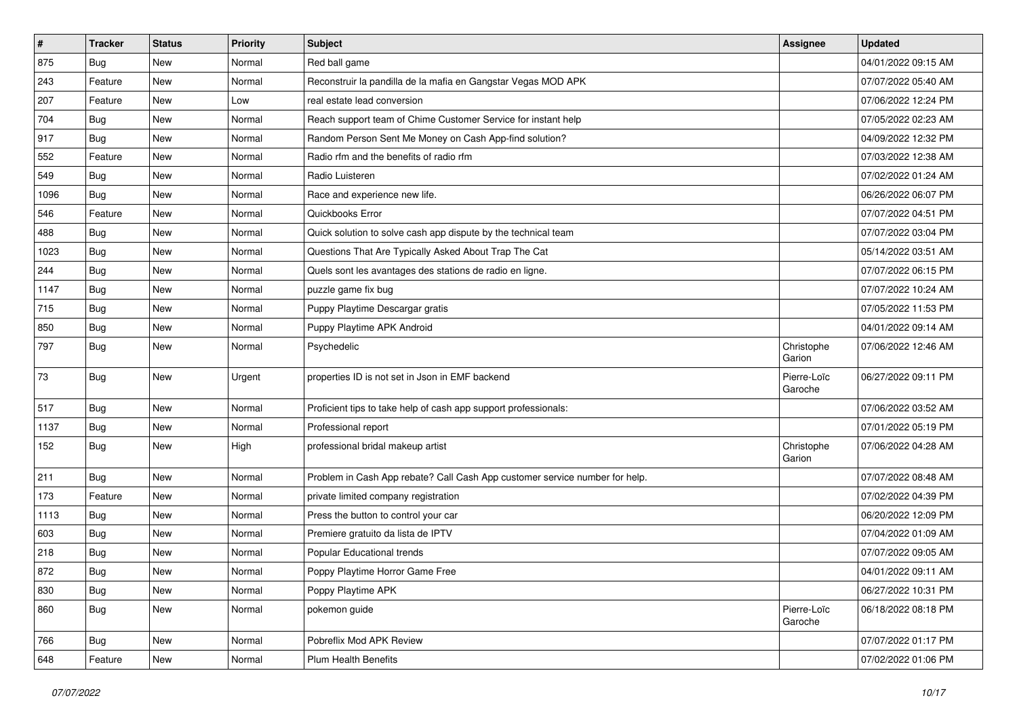| $\vert$ # | <b>Tracker</b> | <b>Status</b> | <b>Priority</b> | <b>Subject</b>                                                              | Assignee               | <b>Updated</b>      |
|-----------|----------------|---------------|-----------------|-----------------------------------------------------------------------------|------------------------|---------------------|
| 875       | Bug            | New           | Normal          | Red ball game                                                               |                        | 04/01/2022 09:15 AM |
| 243       | Feature        | <b>New</b>    | Normal          | Reconstruir la pandilla de la mafia en Gangstar Vegas MOD APK               |                        | 07/07/2022 05:40 AM |
| 207       | Feature        | New           | Low             | real estate lead conversion                                                 |                        | 07/06/2022 12:24 PM |
| 704       | Bug            | <b>New</b>    | Normal          | Reach support team of Chime Customer Service for instant help               |                        | 07/05/2022 02:23 AM |
| 917       | Bug            | <b>New</b>    | Normal          | Random Person Sent Me Money on Cash App-find solution?                      |                        | 04/09/2022 12:32 PM |
| 552       | Feature        | New           | Normal          | Radio rfm and the benefits of radio rfm                                     |                        | 07/03/2022 12:38 AM |
| 549       | Bug            | <b>New</b>    | Normal          | Radio Luisteren                                                             |                        | 07/02/2022 01:24 AM |
| 1096      | Bug            | New           | Normal          | Race and experience new life.                                               |                        | 06/26/2022 06:07 PM |
| 546       | Feature        | <b>New</b>    | Normal          | Quickbooks Error                                                            |                        | 07/07/2022 04:51 PM |
| 488       | Bug            | New           | Normal          | Quick solution to solve cash app dispute by the technical team              |                        | 07/07/2022 03:04 PM |
| 1023      | Bug            | <b>New</b>    | Normal          | Questions That Are Typically Asked About Trap The Cat                       |                        | 05/14/2022 03:51 AM |
| 244       | Bug            | <b>New</b>    | Normal          | Quels sont les avantages des stations de radio en ligne.                    |                        | 07/07/2022 06:15 PM |
| 1147      | Bug            | New           | Normal          | puzzle game fix bug                                                         |                        | 07/07/2022 10:24 AM |
| 715       | Bug            | <b>New</b>    | Normal          | Puppy Playtime Descargar gratis                                             |                        | 07/05/2022 11:53 PM |
| 850       | Bug            | <b>New</b>    | Normal          | Puppy Playtime APK Android                                                  |                        | 04/01/2022 09:14 AM |
| 797       | Bug            | New           | Normal          | Psychedelic                                                                 | Christophe<br>Garion   | 07/06/2022 12:46 AM |
| 73        | Bug            | <b>New</b>    | Urgent          | properties ID is not set in Json in EMF backend                             | Pierre-Loïc<br>Garoche | 06/27/2022 09:11 PM |
| 517       | Bug            | <b>New</b>    | Normal          | Proficient tips to take help of cash app support professionals:             |                        | 07/06/2022 03:52 AM |
| 1137      | Bug            | <b>New</b>    | Normal          | Professional report                                                         |                        | 07/01/2022 05:19 PM |
| 152       | Bug            | <b>New</b>    | High            | professional bridal makeup artist                                           | Christophe<br>Garion   | 07/06/2022 04:28 AM |
| 211       | Bug            | New           | Normal          | Problem in Cash App rebate? Call Cash App customer service number for help. |                        | 07/07/2022 08:48 AM |
| 173       | Feature        | <b>New</b>    | Normal          | private limited company registration                                        |                        | 07/02/2022 04:39 PM |
| 1113      | Bug            | <b>New</b>    | Normal          | Press the button to control your car                                        |                        | 06/20/2022 12:09 PM |
| 603       | Bug            | New           | Normal          | Premiere gratuito da lista de IPTV                                          |                        | 07/04/2022 01:09 AM |
| 218       | Bug            | <b>New</b>    | Normal          | Popular Educational trends                                                  |                        | 07/07/2022 09:05 AM |
| 872       | Bug            | New           | Normal          | Poppy Playtime Horror Game Free                                             |                        | 04/01/2022 09:11 AM |
| 830       | Bug            | New           | Normal          | Poppy Playtime APK                                                          |                        | 06/27/2022 10:31 PM |
| 860       | Bug            | New           | Normal          | pokemon guide                                                               | Pierre-Loïc<br>Garoche | 06/18/2022 08:18 PM |
| 766       | <b>Bug</b>     | New           | Normal          | Pobreflix Mod APK Review                                                    |                        | 07/07/2022 01:17 PM |
| 648       | Feature        | New           | Normal          | Plum Health Benefits                                                        |                        | 07/02/2022 01:06 PM |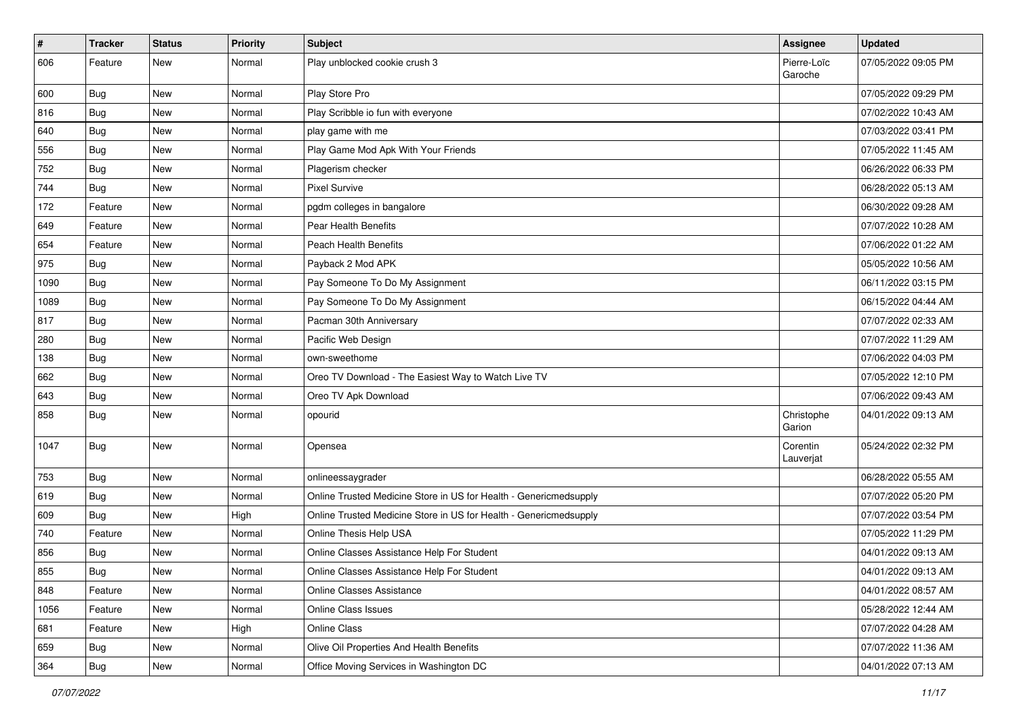| $\vert$ # | <b>Tracker</b> | <b>Status</b> | <b>Priority</b> | <b>Subject</b>                                                    | Assignee               | <b>Updated</b>      |
|-----------|----------------|---------------|-----------------|-------------------------------------------------------------------|------------------------|---------------------|
| 606       | Feature        | New           | Normal          | Play unblocked cookie crush 3                                     | Pierre-Loïc<br>Garoche | 07/05/2022 09:05 PM |
| 600       | Bug            | New           | Normal          | Play Store Pro                                                    |                        | 07/05/2022 09:29 PM |
| 816       | Bug            | <b>New</b>    | Normal          | Play Scribble io fun with everyone                                |                        | 07/02/2022 10:43 AM |
| 640       | Bug            | New           | Normal          | play game with me                                                 |                        | 07/03/2022 03:41 PM |
| 556       | Bug            | New           | Normal          | Play Game Mod Apk With Your Friends                               |                        | 07/05/2022 11:45 AM |
| 752       | Bug            | <b>New</b>    | Normal          | Plagerism checker                                                 |                        | 06/26/2022 06:33 PM |
| 744       | <b>Bug</b>     | New           | Normal          | <b>Pixel Survive</b>                                              |                        | 06/28/2022 05:13 AM |
| 172       | Feature        | <b>New</b>    | Normal          | pgdm colleges in bangalore                                        |                        | 06/30/2022 09:28 AM |
| 649       | Feature        | New           | Normal          | Pear Health Benefits                                              |                        | 07/07/2022 10:28 AM |
| 654       | Feature        | New           | Normal          | <b>Peach Health Benefits</b>                                      |                        | 07/06/2022 01:22 AM |
| 975       | <b>Bug</b>     | New           | Normal          | Payback 2 Mod APK                                                 |                        | 05/05/2022 10:56 AM |
| 1090      | Bug            | New           | Normal          | Pay Someone To Do My Assignment                                   |                        | 06/11/2022 03:15 PM |
| 1089      | Bug            | <b>New</b>    | Normal          | Pay Someone To Do My Assignment                                   |                        | 06/15/2022 04:44 AM |
| 817       | <b>Bug</b>     | <b>New</b>    | Normal          | Pacman 30th Anniversary                                           |                        | 07/07/2022 02:33 AM |
| 280       | Bug            | New           | Normal          | Pacific Web Design                                                |                        | 07/07/2022 11:29 AM |
| 138       | Bug            | New           | Normal          | own-sweethome                                                     |                        | 07/06/2022 04:03 PM |
| 662       | Bug            | <b>New</b>    | Normal          | Oreo TV Download - The Easiest Way to Watch Live TV               |                        | 07/05/2022 12:10 PM |
| 643       | Bug            | New           | Normal          | Oreo TV Apk Download                                              |                        | 07/06/2022 09:43 AM |
| 858       | Bug            | <b>New</b>    | Normal          | opourid                                                           | Christophe<br>Garion   | 04/01/2022 09:13 AM |
| 1047      | Bug            | <b>New</b>    | Normal          | Opensea                                                           | Corentin<br>Lauverjat  | 05/24/2022 02:32 PM |
| 753       | Bug            | New           | Normal          | onlineessaygrader                                                 |                        | 06/28/2022 05:55 AM |
| 619       | Bug            | <b>New</b>    | Normal          | Online Trusted Medicine Store in US for Health - Genericmedsupply |                        | 07/07/2022 05:20 PM |
| 609       | Bug            | New           | High            | Online Trusted Medicine Store in US for Health - Genericmedsupply |                        | 07/07/2022 03:54 PM |
| 740       | Feature        | New           | Normal          | Online Thesis Help USA                                            |                        | 07/05/2022 11:29 PM |
| 856       | Bug            | <b>New</b>    | Normal          | Online Classes Assistance Help For Student                        |                        | 04/01/2022 09:13 AM |
| 855       | Bug            | New           | Normal          | Online Classes Assistance Help For Student                        |                        | 04/01/2022 09:13 AM |
| 848       | Feature        | New           | Normal          | Online Classes Assistance                                         |                        | 04/01/2022 08:57 AM |
| 1056      | Feature        | New           | Normal          | Online Class Issues                                               |                        | 05/28/2022 12:44 AM |
| 681       | Feature        | New           | High            | Online Class                                                      |                        | 07/07/2022 04:28 AM |
| 659       | Bug            | New           | Normal          | Olive Oil Properties And Health Benefits                          |                        | 07/07/2022 11:36 AM |
| 364       | Bug            | New           | Normal          | Office Moving Services in Washington DC                           |                        | 04/01/2022 07:13 AM |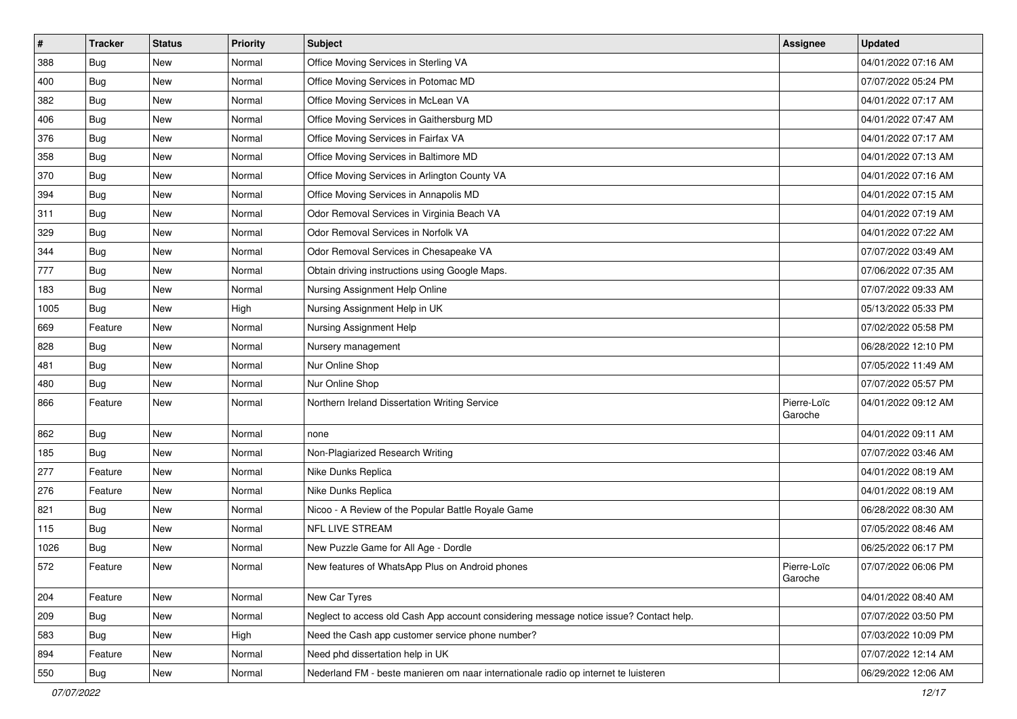| $\vert$ # | <b>Tracker</b> | <b>Status</b> | <b>Priority</b> | <b>Subject</b>                                                                         | Assignee               | <b>Updated</b>      |
|-----------|----------------|---------------|-----------------|----------------------------------------------------------------------------------------|------------------------|---------------------|
| 388       | Bug            | New           | Normal          | Office Moving Services in Sterling VA                                                  |                        | 04/01/2022 07:16 AM |
| 400       | Bug            | <b>New</b>    | Normal          | Office Moving Services in Potomac MD                                                   |                        | 07/07/2022 05:24 PM |
| 382       | <b>Bug</b>     | New           | Normal          | Office Moving Services in McLean VA                                                    |                        | 04/01/2022 07:17 AM |
| 406       | Bug            | <b>New</b>    | Normal          | Office Moving Services in Gaithersburg MD                                              |                        | 04/01/2022 07:47 AM |
| 376       | Bug            | New           | Normal          | Office Moving Services in Fairfax VA                                                   |                        | 04/01/2022 07:17 AM |
| 358       | <b>Bug</b>     | New           | Normal          | Office Moving Services in Baltimore MD                                                 |                        | 04/01/2022 07:13 AM |
| 370       | <b>Bug</b>     | <b>New</b>    | Normal          | Office Moving Services in Arlington County VA                                          |                        | 04/01/2022 07:16 AM |
| 394       | Bug            | New           | Normal          | Office Moving Services in Annapolis MD                                                 |                        | 04/01/2022 07:15 AM |
| 311       | Bug            | <b>New</b>    | Normal          | Odor Removal Services in Virginia Beach VA                                             |                        | 04/01/2022 07:19 AM |
| 329       | <b>Bug</b>     | <b>New</b>    | Normal          | Odor Removal Services in Norfolk VA                                                    |                        | 04/01/2022 07:22 AM |
| 344       | Bug            | New           | Normal          | Odor Removal Services in Chesapeake VA                                                 |                        | 07/07/2022 03:49 AM |
| 777       | Bug            | <b>New</b>    | Normal          | Obtain driving instructions using Google Maps.                                         |                        | 07/06/2022 07:35 AM |
| 183       | Bug            | <b>New</b>    | Normal          | Nursing Assignment Help Online                                                         |                        | 07/07/2022 09:33 AM |
| 1005      | Bug            | New           | High            | Nursing Assignment Help in UK                                                          |                        | 05/13/2022 05:33 PM |
| 669       | Feature        | <b>New</b>    | Normal          | Nursing Assignment Help                                                                |                        | 07/02/2022 05:58 PM |
| 828       | Bug            | New           | Normal          | Nursery management                                                                     |                        | 06/28/2022 12:10 PM |
| 481       | Bug            | <b>New</b>    | Normal          | Nur Online Shop                                                                        |                        | 07/05/2022 11:49 AM |
| 480       | Bug            | <b>New</b>    | Normal          | Nur Online Shop                                                                        |                        | 07/07/2022 05:57 PM |
| 866       | Feature        | New           | Normal          | Northern Ireland Dissertation Writing Service                                          | Pierre-Loïc<br>Garoche | 04/01/2022 09:12 AM |
| 862       | Bug            | <b>New</b>    | Normal          | none                                                                                   |                        | 04/01/2022 09:11 AM |
| 185       | Bug            | New           | Normal          | Non-Plagiarized Research Writing                                                       |                        | 07/07/2022 03:46 AM |
| 277       | Feature        | <b>New</b>    | Normal          | Nike Dunks Replica                                                                     |                        | 04/01/2022 08:19 AM |
| 276       | Feature        | New           | Normal          | Nike Dunks Replica                                                                     |                        | 04/01/2022 08:19 AM |
| 821       | Bug            | <b>New</b>    | Normal          | Nicoo - A Review of the Popular Battle Royale Game                                     |                        | 06/28/2022 08:30 AM |
| 115       | Bug            | <b>New</b>    | Normal          | NFL LIVE STREAM                                                                        |                        | 07/05/2022 08:46 AM |
| 1026      | Bug            | New           | Normal          | New Puzzle Game for All Age - Dordle                                                   |                        | 06/25/2022 06:17 PM |
| 572       | Feature        | <b>New</b>    | Normal          | New features of WhatsApp Plus on Android phones                                        | Pierre-Loïc<br>Garoche | 07/07/2022 06:06 PM |
| 204       | Feature        | New           | Normal          | New Car Tyres                                                                          |                        | 04/01/2022 08:40 AM |
| 209       | Bug            | New           | Normal          | Neglect to access old Cash App account considering message notice issue? Contact help. |                        | 07/07/2022 03:50 PM |
| 583       | Bug            | New           | High            | Need the Cash app customer service phone number?                                       |                        | 07/03/2022 10:09 PM |
| 894       | Feature        | New           | Normal          | Need phd dissertation help in UK                                                       |                        | 07/07/2022 12:14 AM |
| 550       | Bug            | New           | Normal          | Nederland FM - beste manieren om naar internationale radio op internet te luisteren    |                        | 06/29/2022 12:06 AM |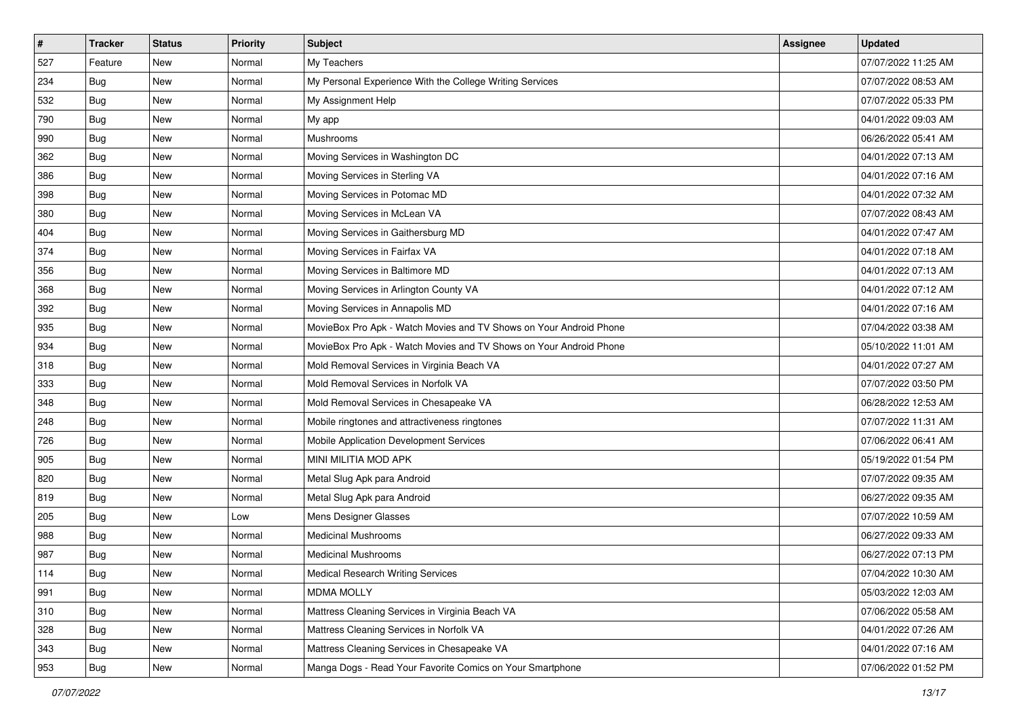| #   | <b>Tracker</b> | <b>Status</b> | <b>Priority</b> | <b>Subject</b>                                                     | <b>Assignee</b> | <b>Updated</b>      |
|-----|----------------|---------------|-----------------|--------------------------------------------------------------------|-----------------|---------------------|
| 527 | Feature        | New           | Normal          | My Teachers                                                        |                 | 07/07/2022 11:25 AM |
| 234 | Bug            | New           | Normal          | My Personal Experience With the College Writing Services           |                 | 07/07/2022 08:53 AM |
| 532 | Bug            | New           | Normal          | My Assignment Help                                                 |                 | 07/07/2022 05:33 PM |
| 790 | Bug            | New           | Normal          | My app                                                             |                 | 04/01/2022 09:03 AM |
| 990 | Bug            | <b>New</b>    | Normal          | Mushrooms                                                          |                 | 06/26/2022 05:41 AM |
| 362 | Bug            | New           | Normal          | Moving Services in Washington DC                                   |                 | 04/01/2022 07:13 AM |
| 386 | <b>Bug</b>     | <b>New</b>    | Normal          | Moving Services in Sterling VA                                     |                 | 04/01/2022 07:16 AM |
| 398 | Bug            | <b>New</b>    | Normal          | Moving Services in Potomac MD                                      |                 | 04/01/2022 07:32 AM |
| 380 | Bug            | New           | Normal          | Moving Services in McLean VA                                       |                 | 07/07/2022 08:43 AM |
| 404 | Bug            | <b>New</b>    | Normal          | Moving Services in Gaithersburg MD                                 |                 | 04/01/2022 07:47 AM |
| 374 | Bug            | New           | Normal          | Moving Services in Fairfax VA                                      |                 | 04/01/2022 07:18 AM |
| 356 | Bug            | <b>New</b>    | Normal          | Moving Services in Baltimore MD                                    |                 | 04/01/2022 07:13 AM |
| 368 | Bug            | <b>New</b>    | Normal          | Moving Services in Arlington County VA                             |                 | 04/01/2022 07:12 AM |
| 392 | Bug            | New           | Normal          | Moving Services in Annapolis MD                                    |                 | 04/01/2022 07:16 AM |
| 935 | Bug            | New           | Normal          | MovieBox Pro Apk - Watch Movies and TV Shows on Your Android Phone |                 | 07/04/2022 03:38 AM |
| 934 | Bug            | New           | Normal          | MovieBox Pro Apk - Watch Movies and TV Shows on Your Android Phone |                 | 05/10/2022 11:01 AM |
| 318 | Bug            | <b>New</b>    | Normal          | Mold Removal Services in Virginia Beach VA                         |                 | 04/01/2022 07:27 AM |
| 333 | Bug            | New           | Normal          | Mold Removal Services in Norfolk VA                                |                 | 07/07/2022 03:50 PM |
| 348 | Bug            | New           | Normal          | Mold Removal Services in Chesapeake VA                             |                 | 06/28/2022 12:53 AM |
| 248 | Bug            | New           | Normal          | Mobile ringtones and attractiveness ringtones                      |                 | 07/07/2022 11:31 AM |
| 726 | Bug            | <b>New</b>    | Normal          | Mobile Application Development Services                            |                 | 07/06/2022 06:41 AM |
| 905 | Bug            | New           | Normal          | MINI MILITIA MOD APK                                               |                 | 05/19/2022 01:54 PM |
| 820 | Bug            | New           | Normal          | Metal Slug Apk para Android                                        |                 | 07/07/2022 09:35 AM |
| 819 | Bug            | New           | Normal          | Metal Slug Apk para Android                                        |                 | 06/27/2022 09:35 AM |
| 205 | Bug            | New           | Low             | Mens Designer Glasses                                              |                 | 07/07/2022 10:59 AM |
| 988 | Bug            | <b>New</b>    | Normal          | <b>Medicinal Mushrooms</b>                                         |                 | 06/27/2022 09:33 AM |
| 987 | <b>Bug</b>     | New           | Normal          | <b>Medicinal Mushrooms</b>                                         |                 | 06/27/2022 07:13 PM |
| 114 | <b>Bug</b>     | New           | Normal          | <b>Medical Research Writing Services</b>                           |                 | 07/04/2022 10:30 AM |
| 991 | Bug            | New           | Normal          | <b>MDMA MOLLY</b>                                                  |                 | 05/03/2022 12:03 AM |
| 310 | Bug            | New           | Normal          | Mattress Cleaning Services in Virginia Beach VA                    |                 | 07/06/2022 05:58 AM |
| 328 | Bug            | New           | Normal          | Mattress Cleaning Services in Norfolk VA                           |                 | 04/01/2022 07:26 AM |
| 343 | Bug            | New           | Normal          | Mattress Cleaning Services in Chesapeake VA                        |                 | 04/01/2022 07:16 AM |
| 953 | <b>Bug</b>     | New           | Normal          | Manga Dogs - Read Your Favorite Comics on Your Smartphone          |                 | 07/06/2022 01:52 PM |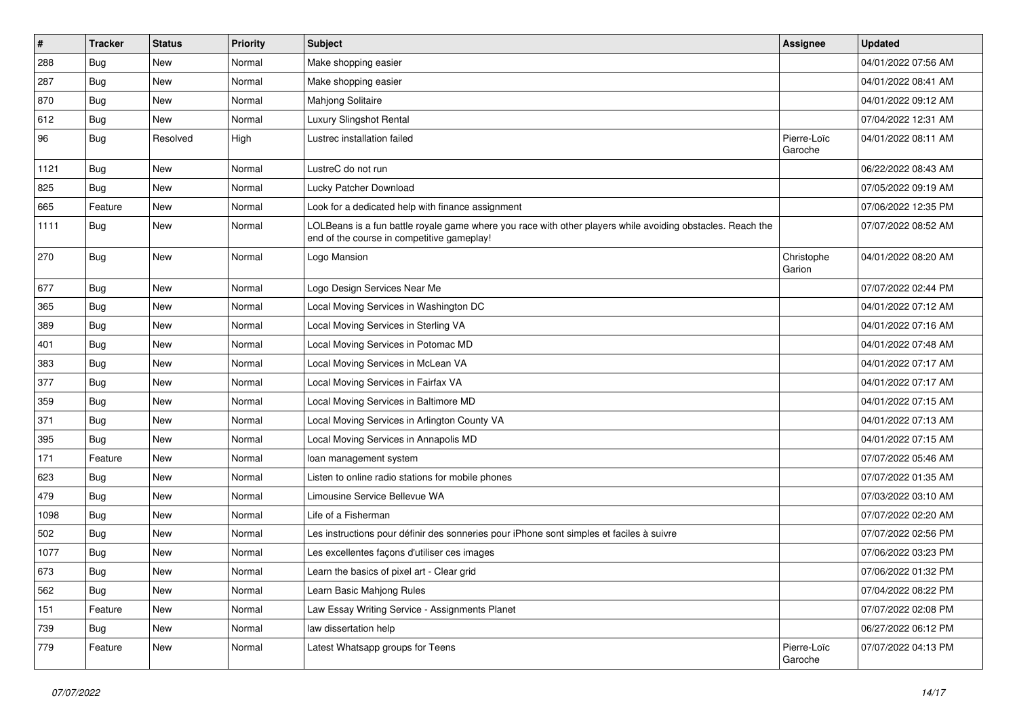| $\pmb{\sharp}$ | <b>Tracker</b> | <b>Status</b> | <b>Priority</b> | <b>Subject</b>                                                                                                                                           | <b>Assignee</b>        | <b>Updated</b>      |
|----------------|----------------|---------------|-----------------|----------------------------------------------------------------------------------------------------------------------------------------------------------|------------------------|---------------------|
| 288            | Bug            | New           | Normal          | Make shopping easier                                                                                                                                     |                        | 04/01/2022 07:56 AM |
| 287            | Bug            | New           | Normal          | Make shopping easier                                                                                                                                     |                        | 04/01/2022 08:41 AM |
| 870            | Bug            | New           | Normal          | Mahjong Solitaire                                                                                                                                        |                        | 04/01/2022 09:12 AM |
| 612            | Bug            | <b>New</b>    | Normal          | Luxury Slingshot Rental                                                                                                                                  |                        | 07/04/2022 12:31 AM |
| 96             | Bug            | Resolved      | High            | Lustrec installation failed                                                                                                                              | Pierre-Loïc<br>Garoche | 04/01/2022 08:11 AM |
| 1121           | Bug            | <b>New</b>    | Normal          | LustreC do not run                                                                                                                                       |                        | 06/22/2022 08:43 AM |
| 825            | Bug            | <b>New</b>    | Normal          | Lucky Patcher Download                                                                                                                                   |                        | 07/05/2022 09:19 AM |
| 665            | Feature        | <b>New</b>    | Normal          | Look for a dedicated help with finance assignment                                                                                                        |                        | 07/06/2022 12:35 PM |
| 1111           | Bug            | New           | Normal          | LOLBeans is a fun battle royale game where you race with other players while avoiding obstacles. Reach the<br>end of the course in competitive gameplay! |                        | 07/07/2022 08:52 AM |
| 270            | Bug            | New           | Normal          | Logo Mansion                                                                                                                                             | Christophe<br>Garion   | 04/01/2022 08:20 AM |
| 677            | Bug            | New           | Normal          | Logo Design Services Near Me                                                                                                                             |                        | 07/07/2022 02:44 PM |
| 365            | Bug            | New           | Normal          | Local Moving Services in Washington DC                                                                                                                   |                        | 04/01/2022 07:12 AM |
| 389            | Bug            | New           | Normal          | Local Moving Services in Sterling VA                                                                                                                     |                        | 04/01/2022 07:16 AM |
| 401            | Bug            | New           | Normal          | Local Moving Services in Potomac MD                                                                                                                      |                        | 04/01/2022 07:48 AM |
| 383            | Bug            | <b>New</b>    | Normal          | Local Moving Services in McLean VA                                                                                                                       |                        | 04/01/2022 07:17 AM |
| 377            | Bug            | New           | Normal          | Local Moving Services in Fairfax VA                                                                                                                      |                        | 04/01/2022 07:17 AM |
| 359            | Bug            | <b>New</b>    | Normal          | Local Moving Services in Baltimore MD                                                                                                                    |                        | 04/01/2022 07:15 AM |
| 371            | Bug            | <b>New</b>    | Normal          | Local Moving Services in Arlington County VA                                                                                                             |                        | 04/01/2022 07:13 AM |
| 395            | Bug            | New           | Normal          | Local Moving Services in Annapolis MD                                                                                                                    |                        | 04/01/2022 07:15 AM |
| 171            | Feature        | New           | Normal          | loan management system                                                                                                                                   |                        | 07/07/2022 05:46 AM |
| 623            | Bug            | New           | Normal          | Listen to online radio stations for mobile phones                                                                                                        |                        | 07/07/2022 01:35 AM |
| 479            | Bug            | <b>New</b>    | Normal          | Limousine Service Bellevue WA                                                                                                                            |                        | 07/03/2022 03:10 AM |
| 1098           | Bug            | <b>New</b>    | Normal          | Life of a Fisherman                                                                                                                                      |                        | 07/07/2022 02:20 AM |
| 502            | Bug            | New           | Normal          | Les instructions pour définir des sonneries pour iPhone sont simples et faciles à suivre                                                                 |                        | 07/07/2022 02:56 PM |
| 1077           | Bug            | New           | Normal          | Les excellentes façons d'utiliser ces images                                                                                                             |                        | 07/06/2022 03:23 PM |
| 673            | Bug            | New           | Normal          | Learn the basics of pixel art - Clear grid                                                                                                               |                        | 07/06/2022 01:32 PM |
| 562            | Bug            | New           | Normal          | Learn Basic Mahjong Rules                                                                                                                                |                        | 07/04/2022 08:22 PM |
| 151            | Feature        | New           | Normal          | Law Essay Writing Service - Assignments Planet                                                                                                           |                        | 07/07/2022 02:08 PM |
| 739            | Bug            | New           | Normal          | law dissertation help                                                                                                                                    |                        | 06/27/2022 06:12 PM |
| 779            | Feature        | New           | Normal          | Latest Whatsapp groups for Teens                                                                                                                         | Pierre-Loïc<br>Garoche | 07/07/2022 04:13 PM |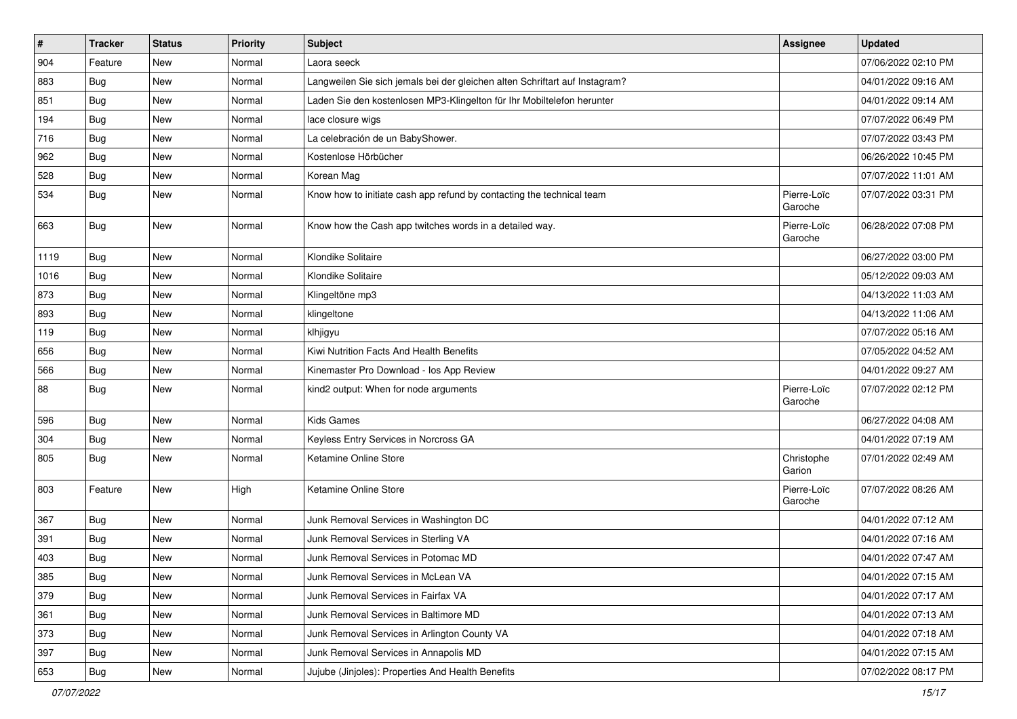| $\vert$ # | <b>Tracker</b> | <b>Status</b> | <b>Priority</b> | <b>Subject</b>                                                              | Assignee               | <b>Updated</b>      |
|-----------|----------------|---------------|-----------------|-----------------------------------------------------------------------------|------------------------|---------------------|
| 904       | Feature        | New           | Normal          | Laora seeck                                                                 |                        | 07/06/2022 02:10 PM |
| 883       | Bug            | <b>New</b>    | Normal          | Langweilen Sie sich jemals bei der gleichen alten Schriftart auf Instagram? |                        | 04/01/2022 09:16 AM |
| 851       | Bug            | New           | Normal          | Laden Sie den kostenlosen MP3-Klingelton für Ihr Mobiltelefon herunter      |                        | 04/01/2022 09:14 AM |
| 194       | Bug            | <b>New</b>    | Normal          | lace closure wigs                                                           |                        | 07/07/2022 06:49 PM |
| 716       | Bug            | New           | Normal          | La celebración de un BabyShower.                                            |                        | 07/07/2022 03:43 PM |
| 962       | Bug            | <b>New</b>    | Normal          | Kostenlose Hörbücher                                                        |                        | 06/26/2022 10:45 PM |
| 528       | Bug            | <b>New</b>    | Normal          | Korean Mag                                                                  |                        | 07/07/2022 11:01 AM |
| 534       | Bug            | <b>New</b>    | Normal          | Know how to initiate cash app refund by contacting the technical team       | Pierre-Loïc<br>Garoche | 07/07/2022 03:31 PM |
| 663       | Bug            | <b>New</b>    | Normal          | Know how the Cash app twitches words in a detailed way.                     | Pierre-Loïc<br>Garoche | 06/28/2022 07:08 PM |
| 1119      | Bug            | <b>New</b>    | Normal          | Klondike Solitaire                                                          |                        | 06/27/2022 03:00 PM |
| 1016      | Bug            | New           | Normal          | Klondike Solitaire                                                          |                        | 05/12/2022 09:03 AM |
| 873       | Bug            | <b>New</b>    | Normal          | Klingeltöne mp3                                                             |                        | 04/13/2022 11:03 AM |
| 893       | Bug            | <b>New</b>    | Normal          | klingeltone                                                                 |                        | 04/13/2022 11:06 AM |
| 119       | Bug            | <b>New</b>    | Normal          | klhjigyu                                                                    |                        | 07/07/2022 05:16 AM |
| 656       | Bug            | <b>New</b>    | Normal          | Kiwi Nutrition Facts And Health Benefits                                    |                        | 07/05/2022 04:52 AM |
| 566       | Bug            | <b>New</b>    | Normal          | Kinemaster Pro Download - los App Review                                    |                        | 04/01/2022 09:27 AM |
| 88        | Bug            | New           | Normal          | kind2 output: When for node arguments                                       | Pierre-Loïc<br>Garoche | 07/07/2022 02:12 PM |
| 596       | Bug            | <b>New</b>    | Normal          | <b>Kids Games</b>                                                           |                        | 06/27/2022 04:08 AM |
| 304       | Bug            | <b>New</b>    | Normal          | Keyless Entry Services in Norcross GA                                       |                        | 04/01/2022 07:19 AM |
| 805       | Bug            | <b>New</b>    | Normal          | Ketamine Online Store                                                       | Christophe<br>Garion   | 07/01/2022 02:49 AM |
| 803       | Feature        | <b>New</b>    | High            | Ketamine Online Store                                                       | Pierre-Loïc<br>Garoche | 07/07/2022 08:26 AM |
| 367       | Bug            | New           | Normal          | Junk Removal Services in Washington DC                                      |                        | 04/01/2022 07:12 AM |
| 391       | Bug            | <b>New</b>    | Normal          | Junk Removal Services in Sterling VA                                        |                        | 04/01/2022 07:16 AM |
| 403       | Bug            | <b>New</b>    | Normal          | Junk Removal Services in Potomac MD                                         |                        | 04/01/2022 07:47 AM |
| 385       | Bug            | New           | Normal          | Junk Removal Services in McLean VA                                          |                        | 04/01/2022 07:15 AM |
| 379       | Bug            | New           | Normal          | Junk Removal Services in Fairfax VA                                         |                        | 04/01/2022 07:17 AM |
| 361       | Bug            | New           | Normal          | Junk Removal Services in Baltimore MD                                       |                        | 04/01/2022 07:13 AM |
| 373       | Bug            | New           | Normal          | Junk Removal Services in Arlington County VA                                |                        | 04/01/2022 07:18 AM |
| 397       | Bug            | New           | Normal          | Junk Removal Services in Annapolis MD                                       |                        | 04/01/2022 07:15 AM |
| 653       | <b>Bug</b>     | New           | Normal          | Jujube (Jinjoles): Properties And Health Benefits                           |                        | 07/02/2022 08:17 PM |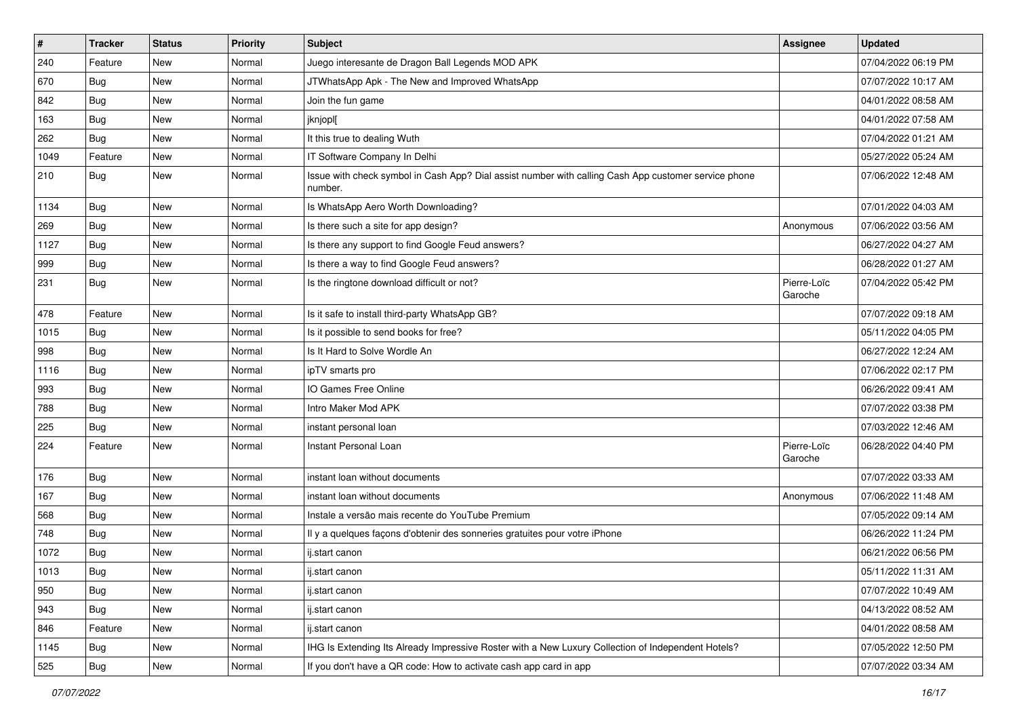| $\pmb{\#}$ | <b>Tracker</b> | <b>Status</b> | <b>Priority</b> | <b>Subject</b>                                                                                                  | Assignee               | <b>Updated</b>      |
|------------|----------------|---------------|-----------------|-----------------------------------------------------------------------------------------------------------------|------------------------|---------------------|
| 240        | Feature        | New           | Normal          | Juego interesante de Dragon Ball Legends MOD APK                                                                |                        | 07/04/2022 06:19 PM |
| 670        | Bug            | <b>New</b>    | Normal          | JTWhatsApp Apk - The New and Improved WhatsApp                                                                  |                        | 07/07/2022 10:17 AM |
| 842        | Bug            | New           | Normal          | Join the fun game                                                                                               |                        | 04/01/2022 08:58 AM |
| 163        | Bug            | <b>New</b>    | Normal          | jknjopl[                                                                                                        |                        | 04/01/2022 07:58 AM |
| 262        | Bug            | <b>New</b>    | Normal          | It this true to dealing Wuth                                                                                    |                        | 07/04/2022 01:21 AM |
| 1049       | Feature        | New           | Normal          | IT Software Company In Delhi                                                                                    |                        | 05/27/2022 05:24 AM |
| 210        | Bug            | <b>New</b>    | Normal          | Issue with check symbol in Cash App? Dial assist number with calling Cash App customer service phone<br>number. |                        | 07/06/2022 12:48 AM |
| 1134       | Bug            | <b>New</b>    | Normal          | Is WhatsApp Aero Worth Downloading?                                                                             |                        | 07/01/2022 04:03 AM |
| 269        | Bug            | <b>New</b>    | Normal          | Is there such a site for app design?                                                                            | Anonymous              | 07/06/2022 03:56 AM |
| 1127       | Bug            | New           | Normal          | Is there any support to find Google Feud answers?                                                               |                        | 06/27/2022 04:27 AM |
| 999        | Bug            | New           | Normal          | Is there a way to find Google Feud answers?                                                                     |                        | 06/28/2022 01:27 AM |
| 231        | Bug            | <b>New</b>    | Normal          | Is the ringtone download difficult or not?                                                                      | Pierre-Loïc<br>Garoche | 07/04/2022 05:42 PM |
| 478        | Feature        | New           | Normal          | Is it safe to install third-party WhatsApp GB?                                                                  |                        | 07/07/2022 09:18 AM |
| 1015       | Bug            | New           | Normal          | Is it possible to send books for free?                                                                          |                        | 05/11/2022 04:05 PM |
| 998        | Bug            | <b>New</b>    | Normal          | Is It Hard to Solve Wordle An                                                                                   |                        | 06/27/2022 12:24 AM |
| 1116       | Bug            | <b>New</b>    | Normal          | ipTV smarts pro                                                                                                 |                        | 07/06/2022 02:17 PM |
| 993        | Bug            | New           | Normal          | IO Games Free Online                                                                                            |                        | 06/26/2022 09:41 AM |
| 788        | Bug            | <b>New</b>    | Normal          | Intro Maker Mod APK                                                                                             |                        | 07/07/2022 03:38 PM |
| 225        | Bug            | <b>New</b>    | Normal          | instant personal loan                                                                                           |                        | 07/03/2022 12:46 AM |
| 224        | Feature        | <b>New</b>    | Normal          | Instant Personal Loan                                                                                           | Pierre-Loïc<br>Garoche | 06/28/2022 04:40 PM |
| 176        | Bug            | New           | Normal          | instant loan without documents                                                                                  |                        | 07/07/2022 03:33 AM |
| 167        | Bug            | <b>New</b>    | Normal          | instant loan without documents                                                                                  | Anonymous              | 07/06/2022 11:48 AM |
| 568        | Bug            | <b>New</b>    | Normal          | Instale a versão mais recente do YouTube Premium                                                                |                        | 07/05/2022 09:14 AM |
| 748        | Bug            | New           | Normal          | Il y a quelques façons d'obtenir des sonneries gratuites pour votre iPhone                                      |                        | 06/26/2022 11:24 PM |
| 1072       | Bug            | New           | Normal          | ij.start canon                                                                                                  |                        | 06/21/2022 06:56 PM |
| 1013       | Bug            | New           | Normal          | ij.start canon                                                                                                  |                        | 05/11/2022 11:31 AM |
| 950        | Bug            | New           | Normal          | ij.start canon                                                                                                  |                        | 07/07/2022 10:49 AM |
| 943        | Bug            | New           | Normal          | ij.start canon                                                                                                  |                        | 04/13/2022 08:52 AM |
| 846        | Feature        | New           | Normal          | ij.start canon                                                                                                  |                        | 04/01/2022 08:58 AM |
| 1145       | Bug            | New           | Normal          | IHG Is Extending Its Already Impressive Roster with a New Luxury Collection of Independent Hotels?              |                        | 07/05/2022 12:50 PM |
| 525        | <b>Bug</b>     | New           | Normal          | If you don't have a QR code: How to activate cash app card in app                                               |                        | 07/07/2022 03:34 AM |